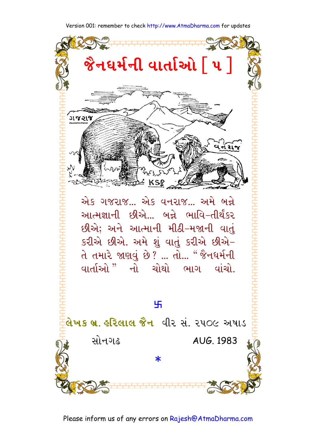Version 001: remember to check http://www.AtmaDharma.com for updates



Please inform us of any errors on Rajesh@AtmaDharma.com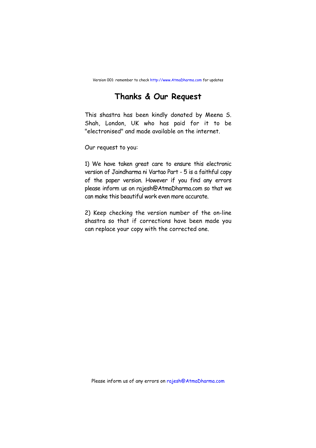### **Thanks & Our Request**

This shastra has been kindly donated by Meena S. Shah, London, UK who has paid for it to be "electronised" and made available on the internet.

Our request to you:

1) We have taken great care to ensure this electronic version of Jaindharma ni Vartao Part - 5 is a faithful copy of the paper version. However if you find any errors please inform us on rajesh@AtmaDharma.com so that we can make this beautiful work even more accurate.

2) Keep checking the version number of the on-line shastra so that if corrections have been made you can replace your copy with the corrected one.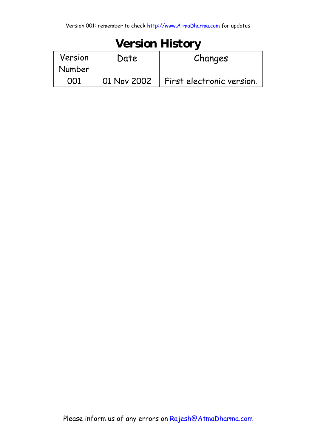| <b>VEISION MISLUI V</b> |             |                           |
|-------------------------|-------------|---------------------------|
| Version                 | Date        | Changes                   |
| Number                  |             |                           |
| OO1                     | 01 Nov 2002 | First electronic version. |

### **Version History**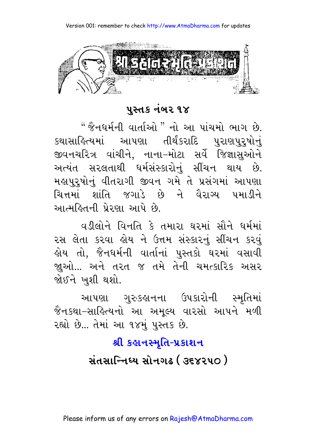

પુસ્તક નંબર ૧૪

" જૈનધર્મની વાર્તાઓ " નો આ પાંચમો ભાગ છે. કથાસાહિત્યમાં આપણા તીર્થંકરાદિ પુરાણપુરૂષોનું જીવનચરિત્ર વાંચીને, નાના-મોટા સર્વે જિજ્ઞાસુઓને અત્યંત સરલતાથી ધર્મસંસ્કારોનું સીંચન થાય છે. મહાપુરૂષોનું વીતરાગી જીવન ગમે તે પ્રસંગમાં આપણા ચિત્તમાં શાંતિ જગાડે છે ને વૈરાગ્ય પમાડીને આત્મહિતની પેરણા આપે છે.

વડીલોને વિનૃતિ કે તમારા ઘરમાં સૌને ધર્મમાં રસ લેતા કરવા હોય ને ઉત્તમ સંસ્કારનું સીંચન કરવું હોય તો, જૈનધર્મની વાર્તાનાં પુસ્તકો ઘરમાં વસાવી જાૂઓ... અને તરત જ તમે તેની ચમત્કારિક અસર જોઈને ખશી થશો.

આપણા ગુરુકહાનના ઉપકારોની સ્મતિમાં જૈનકથા-સાહિત્યનો આ અમૂલ્ય વારસો આપને મળી રહ્યો છે... તેમાં આ ૧૪મું પુસ્તક છે.

#### श्री ९डानस्मृति-प्रકाशन

સંતસાન્નિધ્ય સોનગઢ ( $35$ રરપ $\Omega$ )

Please inform us of any errors on Rajesh@AtmaDharma.com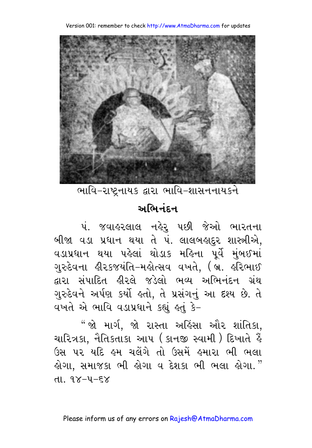Version 001: remember to check http://www.AtmaDharma.com for updates



ભાવિ-રાષ્ટ્રનાયક દ્વારા ભાવિ-શાસનનાયકને

#### અભિનંદન

પં. જવાહરલાલ નહેરૂ પછી જેઓ ભારતના બીજા વડા પ્રધાન થયા તે પં. લાલબહાદુર શાસ્ત્રીએ, વડાપ્રધાન થયા પહેલાં થોડાક મહિના પૂર્વે મુંબઈમાં ગુરુદેવના ક્રી૨કજયંતિ–મક્રોત્સવ વખતે, (બ્ર. ક્રુરિભાઈ દ્વારા સંપાદિત હીરલે જડેલો ભવ્ય અભિનંદન ગ્રંથ ગુરુદેવને અર્પણ કર્યો હતો, તે પ્રસંગનું આ દશ્ય છે. તે વખતે એ ભાવિ વડાપ્રધાને કહ્યું હતું કે-

" જો માર્ગ, જો રાસ્તા અહિંસા ઔર શાંતિકા, ચારિત્રકા. નૈતિકતાકા આપ (કાનજી સ્વામી ) દિખાતે હૈં ઉસ પર યદિ હમ ચલેંગે તો ઉસમેં હમારા ભી ભલા લેગા, સમાજકા ભી લેગા વ દેશકા ભી ભલા લેગા."  $dL$ ,  $9X-Y-\epsilon X$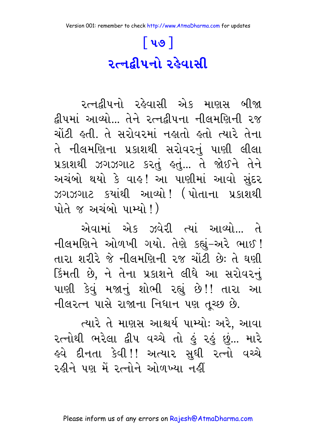# 

## રત્નદીપનો રહેવાસી

રત્નદીપનો રહેવાસી એક માણસ બીજા દ્વીપમાં આવ્યો... તેને ૨ત્નદ્વીપના નીલમણિની ૨જ ચોંટી હતી. તે સરોવરમાં નહાતો હતો ત્યારે તેના તે નીલમણિના પ્રકાશથી સરોવરનું પાણી લીલા પ્રકાશથી ઝગઝગાટ કરતું કતું... તે જોઈને તેને અચંબો થયો કે વાહ! આ પાણીમાં આવો સુંદર ઝગઝગાટ કયાંથી આવ્યો! (પોતાના પ્રકાશથી પોતે જ અચંબો પામ્યો ! )

એવામાં એક ઝવેરી ત્યાં આવ્યો... તે નીલમણિને ઓળખી ગયો. તેણે કહ્યું-અરે ભાઈ! તારા શરીરે જે નીલમણિની રજ ચોંટી છે: તે ઘણી કિંમતી છે, ને તેના પ્રકાશને લીધે આ સરોવરનું પાણી કેવું મજાનું શોભી રહ્યું છે!! તારા આ નીલરત્ન પાસે રાજાના નિધાન પણ તૂચ્છ છે.

ત્યારે તે માણસ આશ્ચર્ય પામ્યોઃ અરે, આવા રત્નોથી ભરેલા દ્વીપ વચ્ચે તો હું રહું છું... મારે હવે દીનતા કેવી!! અત્યાર સુધી રત્નો વચ્ચે રૂઢીને પણ મેં રત્નોને ઓળખ્યા નહીં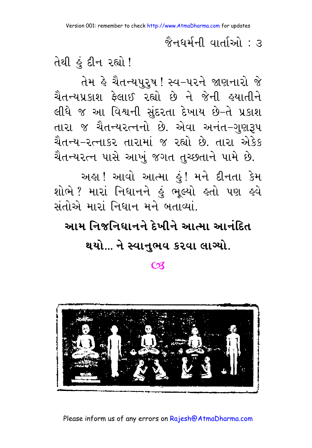જૈનઘર્મની વાર્તાઓ <sup>.</sup> ૩

तेथी डुं दीन रह्यो !

તેમ હે ચૈતન્યપુરૂષ ! સ્વ-પરને જાણનારો જે ચૈતન્યપ્રકાશ ફેલાઈ રહ્યો છે ને જેની હયાતીને લીધે જ આ વિશ્વની સુંદરતા દેખાય છે–તે પ્રકાશ તારા જ ચૈતન્યરત્નનો છે. એવા અનંત–ગુણરૂપ ચૈતન્ય-રત્નાકર તારામાં જ રહ્યો છે. તારા એકેક ચૈતન્યરત્ન પાસે આખું જગત તુચ્છતાને પામે છે.

અહ્ય! આવો આત્મા હું! મને દીનતા કેમ શોભે? મારાં નિધાનને હું ભૂલ્યો હતો પણ હવે સંતોએ મારાં નિધાન મને બતાવ્યાં

આમ નિજનિધાનને દેખીને આત્મા આનંદિત થયો... ને સ્વાનુભવ કરવા લાગ્યો.

#### $C<sub>9</sub>$



Please inform us of any errors on Rajesh@AtmaDharma.com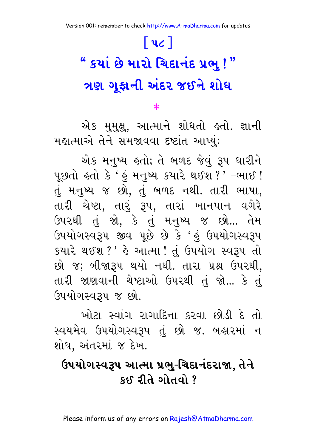Version 001: remember to check http://www.AtmaDharma.com for updates

## 

# " કયાં છે મારો ચિદાનંદ પ્રભુ !" ત્રણ ગુફાની અંદર જઈને શોધ

 $\ast$ 

એક મુમુક્ષુ, આત્માને શોધતો હતો. જ્ઞાની મહાત્માએ તેને સમજાવવા દષ્ટાંત આપ્યું:

એક મનુષ્ય હતો; તે બળદ જેવું રૂપ ધારીને પૂછતો હતો કે ' હું મનુષ્ય કયારે થઈશ?' -ભાઈ! તું મનુષ્ય જ છો, તું બળદ નથી. તારી ભાષા, તારી ચેષ્ટા, તારું રૂપ, તારાં ખાનપાન વગેરે<br>ઉપરથી તું જો, કે તું મનુષ્ય જ છો... તેમ ઉપયોગસ્વરૂપ જીવ પૂછે છે કે 'હું ઉપયોગસ્વરૂપ કયારે થઈશ?' કે આત્મા! તું ઉપયોગ સ્વરૂપ તો છો જ; બીજારૂપ થયો નથી. તારા પ્રશ્ન ઉપરથી, તારી જાણવાની ચેષ્ટાઓ ઉપરથી તું જો... કે તું ઉપયોગસ્વરૂપ જ છો.

ખોટા સ્વાંગ રાગાદિના કરવા છોડી દે તો સ્વયમેવ ઉપયોગસ્વરૂપ તું છો જ. બહારમાં ન શોધ, અંતરમાં જ દેખ.

### ઉપયોગસ્વરૂપ આત્મા પ્રભ-ચિદાનંદરાજા. તેને કઈ રીતે ગોતવો ?

Please inform us of any errors on Rajesh@AtmaDharma.com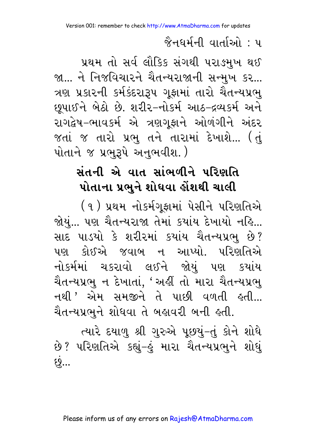જૈનઘર્મની વાર્તાઓ <sup>.</sup> પ

પ્રથમ તો સર્વ લૌકિક સંગથી પરાઙમુખ થઈ જા... ને નિજવિચારને ચૈતન્યરાજાની સન્મુખ કર... ત્રણ પ્રકારની કર્મકંદરારૂપ ગુફામાં તારો ચૈતન્યપ્રભુ છુપાઈને બેઠો છે. શરીર-નોકર્મ આઠ-દ્રવ્યકર્મ અને રાગદ્વેષ-ભાવકર્મ એ ત્રણગૂફાને ઓળંગીને અંદર જતાં જ તારો પ્રભુ તને તારામાં દેખાશે...  $(\, \vec{\mathrm{d}}\,$ પોતાને જ પ્રભુરૂપે અનુભવીશ. )

### સંતની એ વાત સાંભળીને પરિણતિ પોતાના પ્રભુને શોધવા હોંશથી ચાલી

(૧) પ્રથમ નોકર્મગુફામાં પેસીને પરિણતિએ જોયું... પણ ચૈતન્યરાજા તેમાં કયાંય દેખાયો નહિ... સાદ પાડયો કે શરીરમાં કયાંય ચૈતન્યપ્રભુ છે? પણ કોઈએ જવાબ ન આપ્યો. પરિણતિએ નોકર્મમાં ચકરાવો લઈને જોયં પણ કયાંય ચૈતન્યપ્રભુ ન દેખાતાં, 'અહીં તો મારા ચૈતન્યપ્રભુ નથી 'એમ સમજીને તે પાછી વળતી હતી... ચૈતન્યપ્રભુને શોધવા તે બહાવરી બની હતી.

ત્યારે દયાળુ શ્રી ગુરુએ પૂછયું–તું કોને શોધે છે? પરિણતિએ કહ્યું-હું મારા ચૈતન્યપ્રભુને શોધું છું…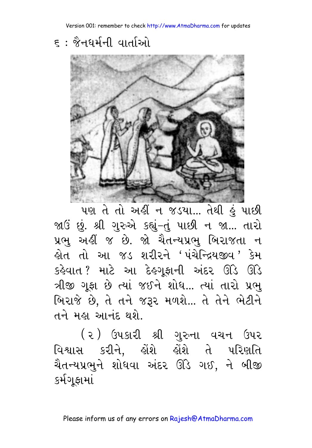Version 001: remember to check http://www.AtmaDharma.com for updates

```
६ : જૈનઘર્મની વાર્તાઓ
```


પણ તે તો અહીં ન જડયા... તેથી હું પાછી જાઉં છું. શ્રી ગુરુએ કહ્યું-તું પાછી ન જા... તારો પ્રભુ અહીં જ છે. જો ચૈતન્યપ્રભુ બિરાજતા ન હોત તો આ જડ શરીરને 'પંચેન્દ્રિયજીવ*'* કેમ કહેવાત ? માટે આ દેહગૂફાની અંદર ઊંડે ઊંડે ત્રીજી ગૂફા છે ત્યાં જઈને શોધ... ત્યાં તારો પ્રભુ બિરાજે છે, તે તને જરૂર મળશે... તે તેને ભેટીને તને મહા આનંદ થશે

(૨) ઉપકારી શ્રી ગુરુના વચન ઉપર વિશ્વાસ કરીને, હોંશે હોંશે તે પરિણતિ ચૈતન્યપ્રભુને શોધવા અંદર ઊંડે ગઈ, ને બીજી કર્મગફામાં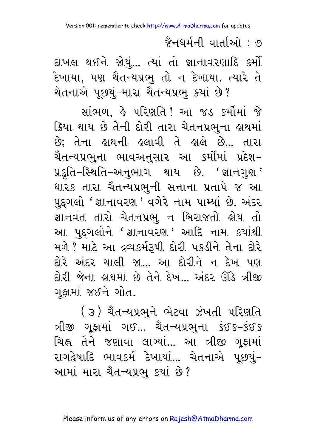Version 001: remember to check http://www.AtmaDharma.com for updates

જૈનધર્મની વાર્તાઓ : ૭

દાખલ થઈને જોયું... ત્યાં તો જ્ઞાનાવરણાદિ કર્મો દેખાયા, પણ ચૈતન્યપ્રભુ તો ન દેખાયા. ત્યારે તે ચેતનાએ પૂછયું–મારા ચૈતન્યપ્રભુ કયાં છે?

સાંભળ, કે પરિણતિ ! આ જડ કર્મોમાં જે ક્રિયા થાય છે તેની દોરી તારા ચેતનપ્રભુના હાથમાં છે: તેના કાથની કલાવી તે કાલે છે... તારા ચૈતન્યપ્રભુના ભાવઅનુસાર આ કર્મોમાં પ્રદેશ– પ્રકૃતિ–સ્થિતિ–અનુભાગ થાય છે. 'જ્ઞાનગુણ*'* ધારક તારા ચૈતન્યપ્રભુની સત્તાના પ્રતાપે જ આ પુદ્દગલો ' જ્ઞાનાવરણ ' વગેરે નામ પામ્યાં છે. અંદર જ્ઞાનવંત તારો ચેતનપ્રભુ ન બિરાજતો હોય તો આ પુદ્દગલોને 'જ્ઞાનાવરણ' આદિ નામ કયાંથી મળે ? માટે આ દ્રવ્યકર્મરૂપી દોરી પકડીને તેના દોરે દોરે અંદર ચાલી જા… આ દોરીને ન દેખ પણ દોરી જેના હાથમાં છે તેને દેખ... અંદર ઊંડે ત્રીજી ગફામાં જઈને ગોત.

(૩) ચૈતન્યપ્રભુને ભેટવા ઝંખતી પરિણતિ ત્રીજી ગુફામાં ગઈ... ચૈતન્યપ્રભુના કંઈક–કંઈક ચિહ્ન તેને જણાવા લાગ્યાં... આ ત્રીજી ગુફામાં રાગદ્વેષાદિ ભાવકર્મ દેખાયાં... ચેતનાએ પૂછયું– આમાં મારા ચૈતન્યપ્રભુ કયાં છે?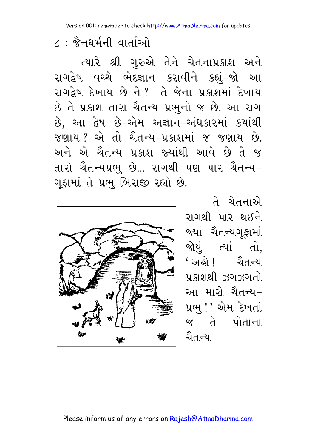### ८ : જૈનઘર્મની વાર્તાઓ

ત્યારે શ્રી ગુરુએ તેને ચેતનાપ્રકાશ અને રાગદ્વેષ વચ્ચે ભેદજ્ઞાન કરાવીને કહ્યું-જો આ રાગદેષ દેખાય છે ને? –તે જેના પ્રકાશમાં દેખાય છે તે પ્રકાશ તારા ચૈતન્ય પ્રભુનો જ છે. આ રાગ છે, આ દ્વેષ છે-એમ અજ્ઞાન-અંધકારમાં કયાંથી જણાય? એ તો ચૈતન્ય-પ્રકાશમાં જ જણાય છે. અને એ ચૈતન્ય પ્રકાશ જ્યાંથી આવે છે તે જ તારો ચૈતન્યપ્રભુ છે... રાગથી પણ પાર ચૈતન્ય– ગફામાં તે પ્રભ બિરાજી રહ્યો છે.



તે ચેતનાએ રાગથી પાર થઈને જ્યાં ચૈતન્યગૂફામાં જોયં ત્યાં તો. ' અલે! ચૈતન્ય પ્રકાશથી ઝગઝગતો આ મારો ચૈતન્ય– પ્રભ !' એમ દેખતાં  $\alpha$  ते पोताना ચૈતન્ય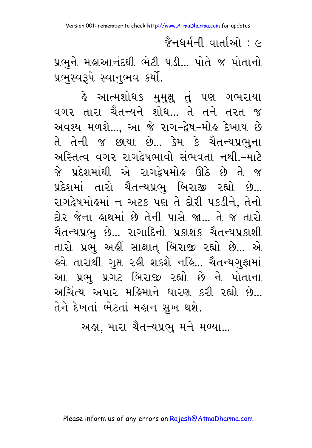Version 001: remember to check http://www.AtmaDharma.com for updates

જૈનઘર્મની વાર્તાઓ : ૯

પ્રભુને મહાઆનંદથી ભેટી પડી... પોતે જ પોતાનો પ્રભુસ્વરૂપે સ્વાનુભવ કર્યો.

હે આત્મશોધક મુમુક્ષુ તું પણ ગભરાયા વગર તારા ચૈતન્યને શોધ... તે તને તરત જ અવશ્ય મળશે..., આ જે રાગ–દ્વેષ–મોઙ દેખાય છે તે તેની જ છાયા છે... કેમ કે ચૈતન્યપ્રભુના અસ્તિત્વ વગર રાગફેષભાવો સંભવતા નથી.-માટે જે પ્રદેશમાંથી એ રાગદ્વેષમોઙ ઊઠે છે તે જ પ્રદેશમાં તારો ચૈતન્યપ્રભુ બિરાજી રહ્યો છે... રાગદ્વેષમોહમાં ન અટક પણ તે દોરી પકડીને, તેનો દોર જેના હાથમાં છે તેની પાસે જા… તે જ તારો ચૈતન્યપ્રભુ છે... રાગાદિનો પ્રકાશક ચૈતન્યપ્રકાશી તારો પ્રભુ અહીં સાક્ષાત્ બિરાજી રહ્યો છે... એ હવે તારાથી ગુપ્ત રહી શકશે નહિ... ચૈતન્યગુફામાં આ પ્રભ પ્રગટ બિરાજી રહ્યો છે ને પોતાના અચિંત્ય અપાર મહિમાને ધારણ કરી રહ્યો છે... તેને દેખતાં-ભેટતાં મહાન સુખ થશે.

અહ્રા. મારા ચૈતન્યપ્રભુ મને મળ્યા...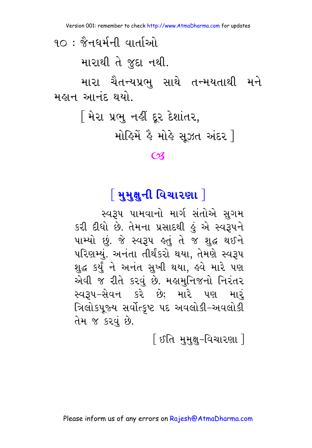१० : જૈનધર્મની વાર્તાઓ મારાથી તે જુદા નથી. મારા ચૈતન્યપ્રભુ સાથે તન્મયતાથી મને મહાન આનંદ થયો. િમેરા પ્રભુ નહીં દૂર દેશાંતર, મોહિમેં હૈ મોહે સઝત અંદર |

 $\alpha$ 

#### <u>| મુમુક્ષુની વિચારણા |</u>

સ્વરૂપ પામવાનો માર્ગ સંતોએ સગમ કરી દીધો છે. તેમના પ્રસાદથી કું એ સ્વરૂપને પામ્યો છું. જે સ્વરૂપ હતું તે જ શહ્ન થઈને પરિણમ્યું. અનંતા તીર્થંકરો થયા, તેમણે સ્વરૂપ શદ્ધ કર્ય ને અનંત સખી થયા. હવે મારે પણ એવી જ રીતે કરવું છે. મહામુનિજનો નિરંતર સ્વરૂપ-સેવન કરે છે; મારે પણ મારૂં ત્રિલોકપૂજ્ય સર્વોત્કૃષ્ટ ૫દ અવલોકી-અવલોકી તેમ જ કરવં છે.

### [ ઈતિ મુમુક્ષ-વિચારણા ]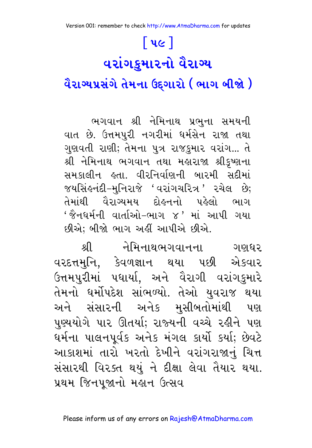## 

## <u>વરાંગકુમારનો વૈરાગ્ય</u>

વૈરાગ્યપ્રસંગે તેમના ઉદ્દગારો ( ભાગ બીજો )

ભગવાન શ્રી નેમિનાથ પ્રભુના સમયની વાત છે. ઉત્તમપુરી નગરીમાં ધર્મસેન રાજા તથા ગુણવતી રાણી; તેમના પુત્ર રાજકુમાર વરાંગ... તે શ્રી નેમિનાથ ભગવાન તથા મહારાજા શ્રીકૃષ્ણના સમકાલીન હતા. વીરનિર્વાણની બારમી સદીમાં જયસિંહનંદી-મનિરાજે 'વરાંગચરિત્ર 'રચેલ છે; તેમાંથી વૈરાગ્યમય દોહનનો પહેલો ભાગ ' જૈનધર્મની વાર્તાઓ–ભાગ ૪' માં આપી ગયા છીએ; બીજો ભાગ અહીં આપીએ છીએ.

શ્રી નેમિનાથભગવાનના ગણધર વરદત્તમુનિ, કેવળજ્ઞાન થયા પછી એકવાર ઉત્તમપુરીમાં પધાર્યા, અને વૈરાગી વરાંગકુમારે તેમનો ધર્મોપદેશ સાંભળ્યો. તેઓ યુવરાજ થયા અને સંસારની અનેક મુસીબતોમાંથી પણ પુણ્યયોગે પાર ઊતર્યા; રાજ્યની વચ્ચે રહીને પણ ધર્મના પાલનપૂર્વક અનેક મંગલ કાર્યો કર્યા; છેવટે આકાશમાં તારો ખરતો દેખીને વરાંગરાજાનું ચિત્ત સંસારથી વિરક્ત થયું ને દીક્ષા લેવા તૈયાર થયા. પ્રથમ જિનપુજાનો મહાન ઉત્સવ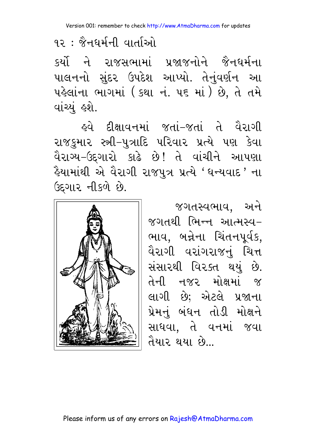### ૧૨ : જૈનધર્મની વાર્તાઓ

કર્યો ને રાજસભામાં પ્રજાજનોને જૈનધર્મના પાલનનો સુંદર ઉપદેશ આપ્યો. તેનુંવર્ણન આ પહેલાંના ભાગમાં ( કથા નં. ૫૬ માં ) છે, તે તમે વાંચ્યં હશે.

૬વે દીક્ષાવનમાં જતાં-જતાં તે વૈરાગી રાજકુમાર સ્ત્રી-પુત્રાદિ પરિવાર પ્રત્યે પણ કેવા વૈરાગ્ય–ઉદ્દગારો કાઢે છે! તે વાંચીને આપણા હૈયામાંથી એ વૈરાગી રાજપુત્ર પ્રત્યે 'ધન્યવાદ ' ના ઉદ્દગાર નીકળે છે.



જગતસ્વભાવ. અને જગતથી ભિન્ન આત્મસ્વ– ભાવ, બન્નેના ચિંતનપૂર્વક, વૈરાગી વરાંગરાજનું ચિત્ત સંસારથી વિરક્ત થયં છે. તેની નજર મોક્ષમાં જ લાગી છે; એટલે પ્રજાના પ્રેમનું બંધન તોડી મોક્ષને સાધવા, તે વનમાં જવા તૈયાર થયા છે...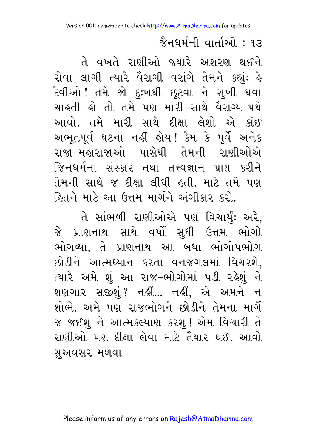### જૈનઘર્મની વાર્તાઓ : ૧૩

તે વખતે રાણીઓ જ્યારે અશરણ થઈને રોવા લાગી ત્યારે વૈરાગી વરાંગે તેમને કહ્યું: હે દેવીઓ ! તમે જો દુઃખથી છૂટવા ને સુખી થવા ચાહતી હો તો તમે પણ મારી સાથે વૈરાગ્ય-પંથે આવો. તમે મારી સાથે દીક્ષા લેશો એ કાંઈ અભૂતપૂર્વ ઘટના નહીં હોય ! કેમ કે પૂર્વે અનેક રાજા–મહારાજાઓ પાસેથી તેમની રાણીઓએ જિનધર્મના સંસ્કાર તથા તત્ત્વજ્ઞાન પ્રાપ્ત કરીને તેમની સાથે જ દીક્ષા લીધી હતી. માટે તમે પણ હિતને માટે આ ઉત્તમ માર્ગને અંગીકાર કરો.

તે સાંભળી રાણીઓએ પણ વિચાર્યુંઃ અરે, જે પ્રાણનાથ સાથે વર્ષો સુધી ઉત્તમ ભોગો ભોગવ્યા. તે પ્રાણનાથ આ બધા ભોગોપભોગ છોડીને આત્મધ્યાન કરતા વનજંગલમાં વિચરશે. ત્યારે અમે શું આ રાજ–ભોગોમાં ૫ડી રહેશું ને શણગાર સજીશું? નહીં... નહીં, એ અમને ન શોભે. અમે પણ રાજભોગને છોડીને તેમના માર્ગે જ જઈશું ને આત્મકલ્યાણ કરશું! એમ વિચારી તે રાણીઓ પણ દીક્ષા લેવા માટે તૈયાર થઈ. આવો સઅવસર મળવા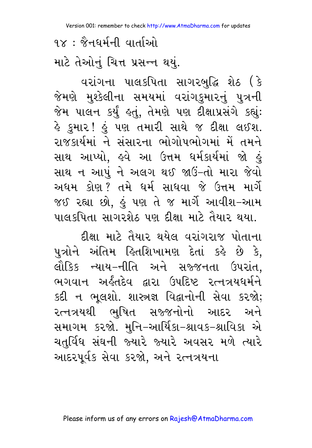## <u> १४ : જૈનધર્મની વાર્તાઓ</u>

### માટે તેઓનું ચિત્ત પ્રસન્ન થયું.

વરાંગના પાલકપિતા સાગરબુદ્ધિ શેઠ (કે જેમણે મુશ્કેલીના સમયમાં વરાંગકુમારનું પુત્રની જેમ પાલન કર્યું હતું, તેમણે પણ દીક્ષાપ્રસંગે કહ્યું: હે કુમાર! હું પણ તમારી સાથે જ દીક્ષા લઈશ. રાજકાર્યમાં ને સંસારના ભોગોપભોગમાં મેં તમને સાથ આપ્યો, હવે આ ઉત્તમ ધર્મકાર્યમાં જો હું સાથ ન આપું ને અલગ થઈ જાઉં–તો મારા જેવો અઘમ કોણ? તમે ઘર્મ સાઘવા જે ઉત્તમ માર્ગે જઈ રહ્યા છો, હું પણ તે જ માર્ગે આવીશ–આમ પાલકપિતા સાગરશેઠ પણ દીક્ષા માટે તૈયાર થયા.

દીક્ષા માટે તૈયાર થયેલ વરાંગરાજ પોતાના પુત્રોને અંતિમ હિતશિખામણ દેતાં કહે છે કે, લૌકિક ન્યાય–નીતિ અને સજ્જનતા ઉપરાંત. ભગવાન અર્લતદેવ દ્વારા ઉપદિષ્ટ રત્નત્રયઘર્મને કદી ન ભૂલશો. શાસ્ત્રજ્ઞ વિદ્વાનોની સેવા કરજો; ૨ત્નત્રયથી ભુષિત સજ્જનોનો આદર અને સમાગમ કરજો. મુનિ–આર્યિકા–શ્રાવક–શ્રાવિકા એ ચતુર્વિધ સંઘની જ્યારે જ્યારે અવસર મળે ત્યારે આદરપૂર્વક સેવા કરજો, અને રત્નત્રયના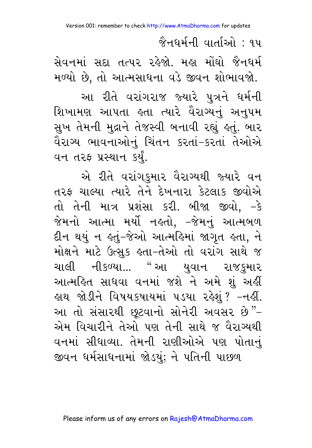જૈનઘર્મની વાર્તાઓ : ૧૫

સેવનમાં સદા તત્પર રહેજો. મહા મોંઘો જૈનધર્મ મળ્યો છે. તો આત્મસાધના વડે જીવન શોભાવજો.

આ રીતે વરાંગરાજ જ્યારે પુત્રને ધર્મની શિખામણ આપતા હતા ત્યારે વૈરાગ્યનં અનપમ સુખ તેમની મુદ્રાને તેજસ્વી બનાવી રહ્યું હતું. બાર વૈરાગ્ય ભાવનાઓનું ચિંતન કરતાં-કરતાં તેઓએ વન તરફ પ્રસ્થાન કર્યું.

એ રીતે વરાંગકમાર વૈરાગ્યથી જ્યારે વન તરફ ચાલ્યા ત્યારે તેને દેખનારા કેટલાક જીવોએ તો તેની માત્ર પ્રશંસા કરી. બીજા જીવો, –કે જેમનો આત્મા મર્યો નહતો, –જેમનું આત્મબળ દીન થયું ન ક્તું–જેઓ આત્મકિમાં જાગૃત ક્તા, ને મોક્ષને માટે ઉત્સુક હતા-તેઓ તો વરાંગ સાથે જ ચાલી નીકળ્યા... "આ યુવાન રાજકુમાર આત્મહિત સાધવા વનમાં જશે ને અમે શું અહીં હાથ જોડીને વિષયકષાયમાં ૫ડયા રહેશું? -નહીં. આ તો સંસારથી છૂટવાનો સોનેરી અવસર છે"– એમ વિચારીને તેઓ પણ તેની સાથે જ વૈરાગ્યથી વનમાં સીધાવ્યા. તેમની રાણીઓએ પણ પોતાનું જીવન ધર્મસાધનામાં જોડયં: ને પતિની પાછળ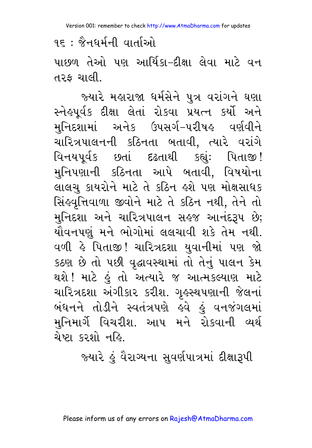<u> १६ : જૈનધર્મની વાર્તાઓ</u> પાછળ તેઓ પણ આર્યિકા–દીક્ષા લેવા માટે વન તરક ચાલી

જ્યારે મહારાજા ઘર્મસેને પુત્ર વરાંગને ઘણા સ્નેહપૂર્વક દીક્ષા લેતાં રોકવા પ્રયત્ન કર્યો અને મનિદશામાં અનેક ઉપસર્ગ-પરીષઙ વર્ણવીને ચારિત્રપાલનની કઠિનતા બતાવી, ત્યારે વરાંગે વિનયપૂર્વક છતાં દઢતાથી કહ્યું: પિતાજી! મુનિપણાની કઠિનતા આપે બતાવી, વિષયોના લાલચુ કાયરોને માટે તે કઠિન હશે પણ મોક્ષસાધક સિંહવૃત્તિવાળા જીવોને માટે તે કઠિન નથી, તેને તો મુનિદશા અને ચારિત્રપાલન સહજ આનંદરૂપ છે; યૌવનપણું મને ભોગોમાં લલચાવી શકે તેમ નથી. વળી કે પિતાજી! ચારિત્રદશા યુવાનીમાં પણ જો કઠણ છે તો પછી વૃદ્ધાવસ્થામાં તો તેનું પાલન કેમ થશે ! માટે હું તો અત્યારે જ આત્મકલ્યાણ માટે ચારિત્રદશા અંગીકાર કરીશ. ગૃહસ્થપણાની જેલનાં બંધનને તોડીને સ્વતંત્રપણે હવે હું વનજંગલમાં મુનિમાર્ગે વિચરીશ. આપ મને રોકવાની વ્યર્થ ચેષ્ટા કરશો નહિ

જ્યારે હું વૈરાગ્યના સુવર્ણપાત્રમાં દીક્ષારૂપી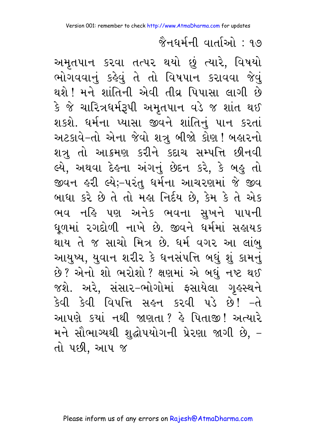### જૈનઘર્મની વાર્તાઓ : ૧૭

અમૃતપાન કરવા તત્પર થયો છું ત્યારે, વિષયો ભોગવવાનું કહેવું તે તો વિષપાન કરાવવા જેવું થશે ! મને શાંતિની એવી તીવ્ર પિપાસા લાગી છે કે જે ચારિત્રધર્મરૂપી અમૃતપાન વડે જ શાંત થઈ શકશે. ધર્મના પ્યાસા જીવને શાંતિનું પાન કરતાં અટકાવે-તો એના જેવો શત્રુ બીજો કોણ ! બહારનો શત્રુ તો આક્રમણ કરીને કદાચ સમ્પત્તિ છીનવી લ્યે, અથવા દેહના અંગનું છેદન કરે, કે બહુ તો જીવન ઙરી લ્યે;–પરંતુ ધર્મના આચરણમાં જે જીવ બાધા કરે છે તે તો મહા નિર્દય છે, કેમ કે તે એક ભવ નહિ પણ અનેક ભવના સખને પાપની ધૂળમાં રગદોળી નાખે છે. જીવને ધર્મમાં સહાયક થાય તે જ સાચો મિત્ર છે. ધર્મ વગર આ લાંબુ આયુષ્ય, યુવાન શરીર કે ધનસંપત્તિ બધું શું કામનું છે ? એનો શો ભરોશો ? ક્ષણમાં એ બધું નષ્ટ થઈ જશે. અરે, સંસાર–ભોગોમાં ફસાયેલા ગૃહસ્થને કેવી કેવી વિપત્તિ સહન કરવી પડે છે! –તે આપણે કયાં નથી જાણતા? કે પિતાજી! અત્યારે મને સૌભાગ્યથી શુદ્ધોપયોગની પ્રેરણા જાગી છે, – તો પછી. આપ જ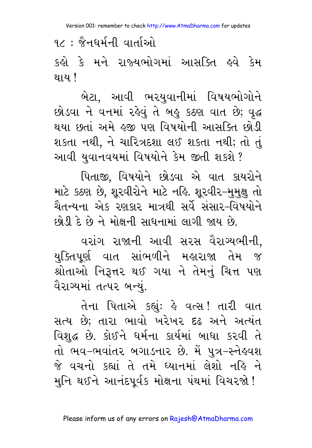१८ : જૈનધર્મની વાર્તાઓ

કહો કે મને રાજ્યભોગમાં આસક્તિ હવે કેમ થાય !

બેટા, આવી ભરયુવાનીમાં વિષયભોગોને છોડવા ને વનમાં રહેવું તે બહુ કઠણ વાત છે; વૃદ્ધ થયા છતાં અમે ઙ્જી પણ વિષયોની આસક્તિ છોડી શકતા નથી. ને ચારિત્રદશા લઈ શકતા નથી; તો તું આવી યુવાનવયમાં વિષયોને કેમ જીતી શકશે ?

પિતાજી, વિષયોને છોડવા એ વાત કાયરોને માટે કઠણ છે, શૂરવીરોને માટે નહિ. શૂરવીર-મુમુક્ષુ તો ચૈતન્યના એક રણકાર માત્રથી સર્વે સંસાર–વિષયોને છોડી દે છે ને મોક્ષની સાધનામાં લાગી જાય છે.

વરાંગ રાજાની આવી સરસ વૈરાગ્યભીની. યક્તિપર્ણ વાત સાંભળીને મહારાજા તેમ જ શ્રોતાઓ નિરૂત્તર થઈ ગયા ને તેમનું ચિત્ત પણ વૈરાગ્યમાં તત્પર બન્યું.

તેના પિતાએ કહ્યું: હે વત્સ! તારી વાત સત્ય છે: તારા ભાવો ખરેખર દઢ અને અત્યંત વિશુદ્ધ છે. કોઈને ધર્મના કાર્યમાં બાધા કરવી તે તો ભવ–ભવાંતર બગાડનાર છે. મેં પત્ર–સ્નેહ્વશ જે વચનો કહ્યાં તે તમે ધ્યાનમાં લેશો નહિ ને મનિ થઈને આનંદપર્વક મોક્ષના પંથમાં વિચરજો !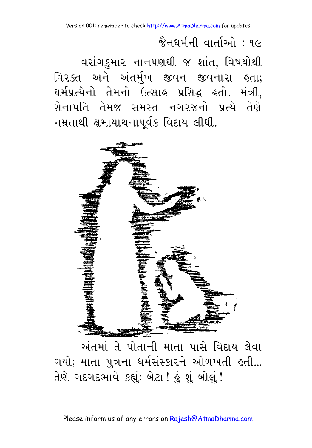Version 001: remember to check http://www.AtmaDharma.com for updates

### <u> જૈનધર્મની વાર્તાઓ : ૧૯</u>

વરાંગકુમાર નાનપણથી જ શાંત, વિષયોથી વિરક્ત અને અંતર્મુખ જીવન જીવનારા હતા; ધર્મપ્રત્યેનો તેમનો ઉત્સાહ પ્રસિદ્ધ હતો. મંત્રી, સેનાપતિ તેમજ સમસ્ત નગરજનો પ્રત્યે તેણે નમ્રતાથી ક્ષમાયાચનાપૂર્વક વિદાય લીધી.



અંતમાં તે પોતાની માતા પાસે વિદાય લેવા ગયો; માતા પુત્રના ધર્મસંસ્કારને ઓળખતી હતી... તેણે ગદગદભાવે કહ્યું: બેટા ! હું શું બોલું !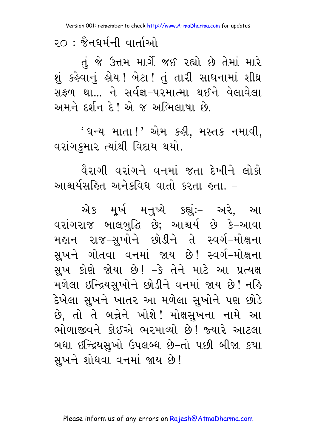२૦ : જૈનધર્મની વાર્તાઓ

તું જે ઉત્તમ માર્ગે જઈ રહ્યો છે તેમાં મારે શું કહેવાનું હોય ! બેટા ! તું તારી સાધનામાં શીઘ્ર સફળ થા... ને સર્વજ્ઞ–પરમાત્મા થઈને વેલાવેલા અમને દર્શન દે! એ જ અભિલાષા છે.

' ધન્ય માતા !' એમ કહી, મસ્તક નમાવી, વરાંગકમાર ત્યાંથી વિદાય થયો.

વૈરાગી વરાંગને વનમાં જતા દેખીને લોકો આશ્ચર્યસહિત અનેકવિધ વાતો કરતા હતા. –

એક મૂર્ખ મનુષ્યે કહ્યું:– અરે, આ વરાંગરાજ બાલબુદ્ધિ છે; આશ્ચર્ય છે કે–આવા મહાન રાજ-સુખોને છોડીને તે સ્વર્ગ-મોક્ષના સુખને ગોતવા વનમાં જાય છે! સ્વર્ગ–મોક્ષના સુખ કોણે જોયા છે! –કે તેને માટે આ પ્રત્યક્ષ મળેલા ઇન્દ્રિયસુખોને છોડીને વનમાં જાય છે! નહિ દેખેલા સુખને ખાતર આ મળેલા સુખોને પણ છોડે છે. તો તે બન્નેને ખોશે! મોક્ષસુખના નામે આ ભોળાજીવને કોઈએ ભરમાવ્યો છે! જ્યારે આટલા બધા ઇન્દ્રિયસુખો ઉપલબ્ધ છે–તો પછી બીજા કયા સુખને શોધવા વનમાં જાય છે!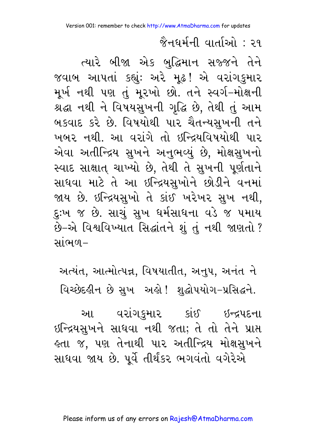### જૈનઘર્મની વાર્તાઓ : २१

ત્યારે બીજા એક બુદ્ધિમાન સજ્જને તેને જવાબ આપતાં કહ્યું: અરે મૂઢ! એ વરાંગકુમાર મૂર્ખ નથી પણ તું મુરખો છો. તને સ્વર્ગ–મોક્ષની શ્રદ્ધા નથી ને વિષયસુખની ગૃદ્ધિ છે, તેથી તું આમ બકવાદ કરે છે. વિષયોથી પાર ચૈતન્યસખની તને ખબર નથી. આ વરાંગે તો ઇન્દ્રિયવિષયોથી પાર એવા અતીન્દ્રિય સખને અનભવ્યં છે. મોક્ષસખનો સ્વાદ સાક્ષાત ચાખ્યો છે, તેથી તે સુખની પૂર્ણતાને સાધવા માટે તે આ ઇન્દ્રિયસુખોને છોડીને વનમાં જાય છે. ઇન્દ્રિયસુખો તે કાંઈ ખરેખર સુખ નથી, દુઃખ જ છે. સાચું સુખ ધર્મસાધના વડે જ પમાય છે-એ વિશ્વવિખ્યાત સિદ્ધાંતને શું તું નથી જાણતો? સાંભળ–

અત્યંત, આત્મોત્પન્ન, વિષયાતીત, અનુપ, અનંત ને વિચ્છેદહીન છે સખ અહો! શદ્ધોપયોગ-પ્રસિદ્ધને.

આ વરાંગકમાર કાંઈ ઇન્દ્રપદના ઇન્દ્રિયસુખને સાધવા નથી જતા; તે તો તેને પ્રાપ્ત હતા જ. પણ તેનાથી પાર અતીન્દ્રિય મોક્ષસખન<mark>ે</mark> સાધવા જાય છે. પૂર્વે તીર્થંકર ભગવંતો વગેરેએ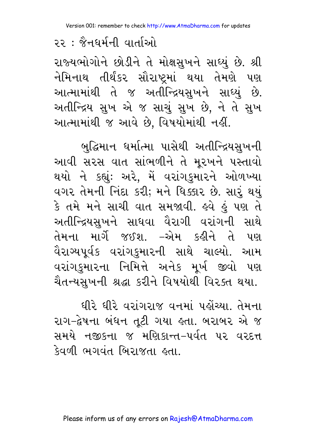### २२ : જૈનઘર્મની વાર્તાઓ

રાજ્યભોગોને છોડીને તે મોક્ષસુખને સાધ્યું છે. શ્રી નેમિનાથ તીર્થંકર સૌરાષ્ટ્રમાં થયા તેમણે પણ આત્મામાંથી તે જ અતીન્દ્રિયસુખને સાધ્યું છે. અતીન્દ્રિય સુખ એ જ સાચું સુખ છે, ને તે સુખ આત્મામાંથી જ આવે છે, વિષયોમાંથી નહીં.

બદ્ધિમાન ધર્માત્મા પાસેથી અતીન્દ્રિયસખની આવી સરસ વાત સાંભળીને તે મૂરખને પસ્તાવો થયો ને કહ્યું: અરે, મેં વરાંગકુમારને ઓળખ્યા વગર તેમની નિંદા કરી; મને ધિક્કાર છે. સારું થયું કે તમે મને સાચી વાત સમજાવી. <mark>હવે હું પણ તે</mark> અતીન્દ્રિયસુખને સાધવા વૈરાગી વરાંગની સાથે તેમના માર્ગે જઈશ. –એમ કઢીને તે પણ વૈરાગ્યપૂર્વક વરાંગકુમારની સાથે ચાલ્યો. આમ વરાંગકુમારના નિમિત્તે અનેક મૂર્ખ જીવો પણ ચૈતન્યસુખની શ્રદ્ધા કરીને વિષયોથી વિરક્ત થયા.

ધીરે ધીરે વરાંગરાજ વનમાં પહોંચ્યા. તેમના રાગ-દ્વેષના બંધન તૂટી ગયા હતા. બરાબર એ જ સમયે નજીકના જ મણિકાન્ત-પર્વત પર વરદત્ત કેવળી ભગવંત બિરાજતા હતા.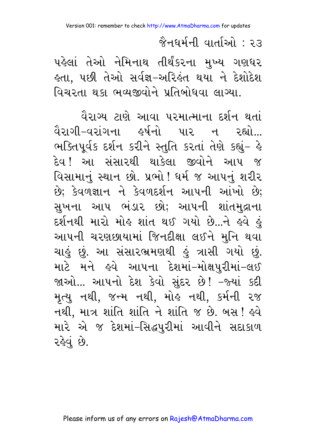જૈનઘર્મની વાર્તાઓ : २૩

પહેલાં તેઓ નેમિનાથ તીર્થંકરના મુખ્ય ગણધર લ્તા. પછી તેઓ સર્વજ્ઞ−અરિલ્ંત થયા ને દેશોદેશ વિચરતા થકા ભવ્યજીવોને પ્રતિબોધવા લાગ્યા.

વૈરાગ્ય ટાણે આવા પરમાત્માના દર્શન થતાં વૈરાગી-વરાંગના હર્ષનો પાર ન રહ્યો... ભક્તિપર્વક દર્શન કરીને સ્તતિ કરતાં તેણે કહ્યું- હે દેવ ! આ સંસારથી થાકેલા જીવોને આપ જ વિસામાનું સ્થાન છો. પ્રભો ! ધર્મ જ આપનું શરીર છે; કેવળજ્ઞાન ને કેવળદર્શન આપની આંખો છે; સુખના આપ ભંડાર છો; આપની શાંતમુદ્રાના દર્શનથી મારો મોહ શાંત થઈ ગયો છે...ને હવે હું આપની ચરણછાયામાં જિનદીક્ષા લઈને મુનિ થવા ચાહું છું. આ સંસારભ્રમણથી હું ત્રાસી ગયો છું. માટે મને હવે આપના દેશમાં–મોક્ષપુરીમાં–લઈ જાઓ... આપનો દેશ કેવો સુંદર છે! –જ્યાં કદી મૃત્યુ નથી, જન્મ નથી, મોહ નથી, કર્મની ૨જ નથી, માત્ર શાંતિ શાંતિ ને શાંતિ જ છે. બસ ! હવે મારે એ જ દેશમાં–સિદ્ધપુરીમાં આવીને સદાકાળ રહેવં છે.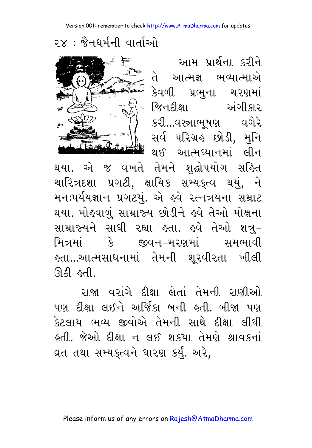२४ : જૈનઘર્મની વાર્તાઓ



આમ પ્રાર્થના કરીને તે આત્મજ્ઞ ભવ્યાત્માએ કેવળી પ્રભુના ચરણમાં જિનદીક્ષા અંગીકાર કરી...વસ્ત્રાભુષણ વગેરે સર્વ પરિગ્રહ છોડી. મનિ થઈ આત્મધ્યાનમાં લીન

થયા. એ જ વખતે તેમને શુદ્ધોપયોગ સહિત ચારિત્રદશા પ્રગટી, ક્ષાયિક સમ્યક્ત્વ થયું, ને મનઃપર્યયજ્ઞાન પ્રગટયું. એ હવે રત્નત્રયના સમ્રાટ થયા. મોહવાળું સામ્રાજ્ય છોડીને હવે તેઓ મોક્ષના સામ્રાજ્યને સાધી રહ્યા હતા. હવે તેઓ શત્રુ-મિત્રમાં કે જીવન–મરણમાં સમભાવી હતા...આત્મસાધનામાં તેમની શૂરવીરતા ખીલી ାନ ଜଣ

રાજા વરાંગે દીક્ષા લેતાં તેમની રાણીઓ પણ દીક્ષા લઈને અર્જિકા બની હતી. બીજા પણ કેટલાય ભવ્ય જીવોએ તેમની સાથે દીક્ષા લીધી હતી. જેઓ દીક્ષા ન લઈ શક્યા તેમણે શ્રાવકનાં વ્રત તથા સમ્યક્ત્વને ધારણ કર્યું. અરે,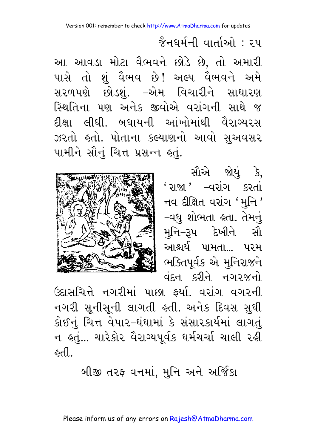### જૈનઘર્મની વાર્તાઓ : રપ

આ આવડા મોટા વૈભવને છોડે છે, તો અમારી પાસે તો શું વૈભવ છે! અલ્પ વૈભવને અમે સરળપણે છોડશું. –એમ વિચારીને સાધારણ સ્થિતિના પણ અનેક જીવોએ વરાંગની સાથે જ દીક્ષા લીધી. બધાયની આંખોમાંથી વૈરાગ્યરસ ઝરતો હતો. પોતાના કલ્યાણનો આવો સુઅવસર પામીને સૌનં ચિત્ત પ્રસન્ન હતં.

> સૌએ જોયું કે, ' રાજા ' -વરાંગ કરતાં નવ દીક્ષિત વરાંગ 'મુનિ ' –વધુ શોભતા ક્રતા. તેમનું મુનિ–રૂપ દેખીને સૌ આશ્ચર્ય પામતા... પરમ ભક્તિપૂર્વક એ મુનિરાજને વંદન કરીને નગરજનો



ઉદાસચિત્તે નગરીમાં પાછા કર્યા. વરાંગ વગરની નગરી સૂનીસૂની લાગતી ક્રતી. અનેક દિવસ સુધી કોઈનું ચિત્ત વેપાર-ધંધામાં કે સંસારકાર્યમાં લાગતું ન કતું... ચારેકોર વૈરાગ્યપૂર્વક ધર્મચર્ચા ચાલી રહી હતી

બીજી તરફ વનમાં, મુનિ અને અર્જિકા

#### Please inform us of any errors on Rajesh@AtmaDharma.com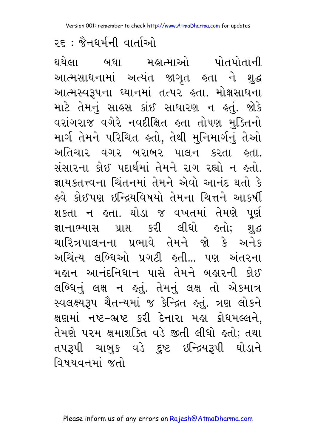२६ : જૈનધર્મની વાર્તાઓ

થયેલા બધા મહાત્માઓ પોતપોતાની આત્મસાધનામાં અત્યંત જાગૃત હતા ને શુદ્ધ આત્મસ્વરૂપના ધ્યાનમાં તત્પર હતા. મોક્ષસાધના માટે તેમનું સાહસ કાંઈ સાધારણ ન હતું. જોકે વરાંગરાજ વગેરે નવદીક્ષિત હતા તોપણ મુક્તિનો માર્ગ તેમને પરિચિત હતો, તેથી મુનિમાર્ગનું તેઓ અતિચાર વગર બરાબર પાલન કરતા હતા. સંસારના કોઈ પદાર્થમાં તેમને રાગ રહ્યો ન હતો. જ્ઞાયકતત્ત્વના ચિંતનમાં તેમને એવો આનંદ થતો કે <u>ઢવે કોઈપણ ઇન્દ્રિયવિષયો તેમના ચિત્તને આકર્ષી</u> શકતા ન હતા. થોડા જ વખતમાં તેમણે પૂર્ણ જ્ઞાનાભ્યાસ પ્રાપ્ત કરી લીધો હતો; શુદ્ધ ચારિત્રપાલનના પ્રભાવે તેમને જો કે અનેક અચિંત્ય લબ્ધિઓ પ્રગટી હતી... પણ અંતરના મહાન આનંદનિધાન પાસે તેમને બહારની કોઈ લબ્ધિનું લક્ષ ન કતું. તેમનું લક્ષ તો એકમાત્ર સ્વલક્ષ્યરૂપ ચૈતન્યમાં જ કેન્દ્રિત હતું. ત્રણ લોકને ક્ષણમાં નષ્ટ-ભ્રષ્ટ કરી દેનારા મહા ક્રોધમલ્લને. તેમણે પરમ ક્ષમાશક્તિ વડે જીતી લીધો હતો; તથા તપરૂપી ચાબક વડે દૃષ્ટ ઇન્દ્રિયરૂપી ઘોડાને વિષયવનમાં જતો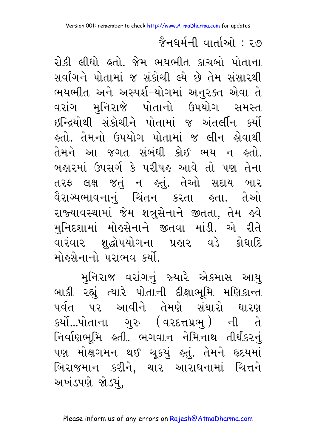### જૈનઘર્મની વાર્તાઓ : २७

રોકી લીધો હતો. જેમ ભયભીત કાચબો પોતાના સર્વાંગને પોતામાં જ સંકોચી લ્યે છે તેમ સંસારથી ભયભીત અને અસ્પર્શ–યોગમાં અનુરક્ત એવા તે વરાંગ મુનિરાજે પોતાનો ઉપયોગ સમસ્ત ઇન્દિયોથી સંકોચીને પોતામાં જ અંતર્લીન કર્યો હતો તેમનો ઉપયોગ પોતામાં જ લીન **હોવા**થી તેમને આ જગત સંબંધી કોઈ ભય ન હતો. બહારમાં ઉપસર્ગ કે પરીષહ આવે તો પણ તેના તરફ લક્ષ જતું ન કતું. તેઓ સદાય બાર વૈરાગ્યભાવનાનું ચિંતન કરતા હતા. તેઓ રાજ્યાવસ્થામાં જેમ શત્રુસેનાને જીતતા, તેમ હવે મુનિદશામાં મોહસેનાને જીતવા માંડી. એ રીતે વારંવાર શુદ્ધોપયોગના પ્રહાર વડે ક્રોધાદિ મોર્ઢસેનાનો પરાભવ કર્યો.

મુનિરાજ વરાંગનું જ્યારે એકમાસ આયુ બાકી રહ્યું ત્યારે પોતાની દીક્ષાભૂમિ મણિકાન્ત પર્વત પર આવીને તેમણે સંથારો ધારણ કર્યો...પોતાના ગુરુ (વરદત્તપ્રભુ) ની તે નિર્વાણભૂમિ હતી. ભગવાન નેમિનાથ તીર્થંકરનું પણ મોક્ષગમન થઈ ચૂક્યું હતું. તેમને હૃદયમાં બિરાજમાન કરીને, ચાર આરાધનામાં ચિત્તને અખંડપણે જોડયું,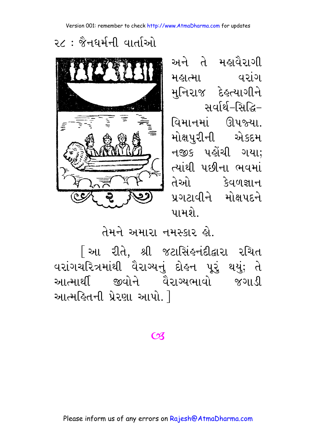२८ : જૈનધર્મની વાર્તાઓ



અને તે મહાવૈરાગી મહાત્મા વરાંગ મુનિરાજ દેહત્યાગીને સર્વાર્થ–સિદ્ધિ– વિમાનમાં ઊપજ્યા. મોક્ષપુરીની એકદમ નજીક પહોંચી ગયા: ત્યાંથી પછીના ભવમાં તેઓ કેવળજ્ઞાન પ્રગટાવીને મોક્ષપદને પામશે

તેમને અમારા નમસ્કાર હો.

િઆ રીતે, શ્રી જટાસિંહનંદીદ્વારા રચિત વરાંગચરિત્રમાંથી વૈરાગ્યનું દોહન પૂરું થયું; તે આત્માર્થી જીવોને વૈરાગ્યભાવો જગાડી આત્મહિતની પ્રેરણા આપો. ી

#### $\alpha$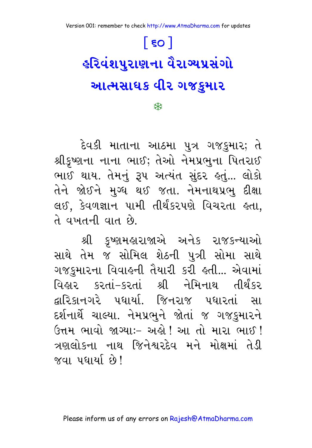Version 001: remember to check http://www.AtmaDharma.com for updates

### $\lceil$  ६०  $\rceil$

# <u>હરિવંશપુરાણના વૈરાગ્યપ્રસંગો</u> આત્મસાધક વીર ગજકુમાર

ӝ

દેવકી માતાના આઠમા ૫ત્ર ગજકમાર; તે શ્રીકૃષ્ણના નાના ભાઈ; તેઓ નેમપ્રભુના પિતરાઈ ભાઈ થાય. તેમનું રૂપ અત્યંત સુંદર હતું... લોકો તેને જોઈને મુગ્ધ થઈ જતા. નેમનાથપ્રભુ દીક્ષા લઈ, કેવળજ્ઞાન પામી તીર્થંકરપણે વિચરતા હતા, ते वખતની વાત છે.

શ્રી કૃષ્ણમહારાજાએ અનેક રાજકન્યાઓ સાથે તેમ જ સોમિલ શેઠની પુત્રી સોમા સાથે ગજકુમારના વિવાહની તૈયારી કરી હતી... એવામાં વિહાર કરતાં-કરતાં શ્રી નેમિનાથ તીર્થંકર દ્રારિકાનગરે પધાર્યા. જિનરાજ પધારતાં સા દર્શનાર્થે ચાલ્યા. નેમપ્રભુને જોતાં જ ગજુકુમારને ઉત્તમ ભાવો જાગ્યાઃ- અહો! આ તો મારા ભાઈ! ત્રણલોકના નાથ જિનેશ્વરદેવ મને મોક્ષમાં તેડી જવા પઘાર્યા છે!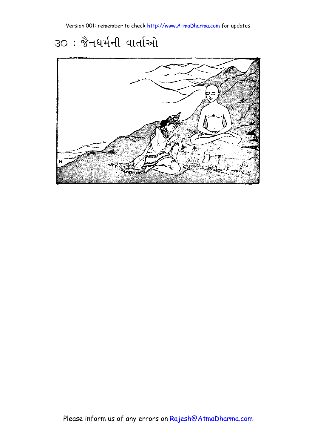### $30$ : જૈનધર્મની વાર્તાઓ

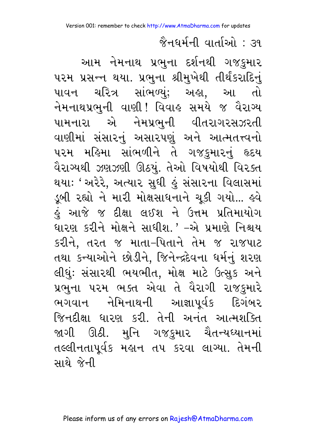### <u> જૈનધર્મની વાર્તાઓ : ૩૧</u>

આમ નેમનાથ પ્રભુના દર્શનથી ગજઙુમાર ૫૨મ પ્રસન્ન થયા. પ્રભુના શ્રીમુખેથી તીર્થંકરાદિનું પાવન ચરિત્ર સાંભળ્યું; અહ્ય, આ તો નેમનાથપ્રભુની વાણી! વિવાહ સમયે જ વૈરાગ્ય પામનારા એ નેમપ્રભુની વીતરાગરસઝરતી વાણીમાં સંસારનું અસારપણું અને આત્મતત્ત્વનો પરમ મહિમા સાંભળીને તે ગજકુમારનું હૃદય વૈરાગ્યથી ઝણઝણી ઊઠયું. તેઓ વિષયોથી વિરક્ત થયાઃ ' અરેરે, અત્યાર સુધી હું સંસારના વિલાસમાં ડૂબી રહ્યો ને મારી મોક્ષસાધનાને ચૂકી ગયો... હવે હું આજે જ દીક્ષા લઈશ ને ઉત્તમ પ્રતિમાયોગ ધારણ કરીને મોક્ષને સાધીશ.' –એ પ્રમાણે નિશ્ચય કરીને. તરત જ માતા–પિતાને તેમ જ રાજપાટ તથા કન્યાઓને છોડીને, જિનેન્દ્રદેવના ધર્મનું શરણ લીધું: સંસારથી ભયભીત, મોક્ષ માટે ઉત્સુક અને પ્રભુના પરમ ભક્ત એવા તે વૈરાગી રાજકુમારે ભગવાન નેમિનાથની આજ્ઞાપર્વક દિગંબર જિનદીક્ષા ધારણ કરી. તેની અનંત આત્મશક્તિ જાગી ઊઠી. મુનિ ગજડુમાર ચૈતન્યઘ્યાનમાં તલ્લીનતાપૂર્વક મહાન તપ કરવા લાગ્યા. તેમની साथे જેની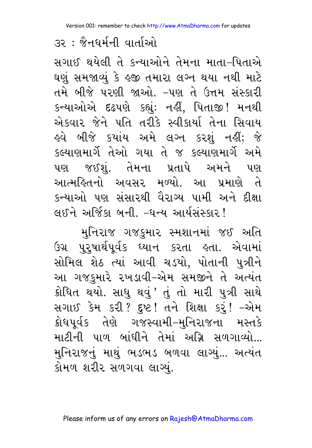### उ२ : જૈનઘર્મની વાર્તાઓ

સગાઈ થયેલી તે કન્યાઓને તેમના માતા-પિતાએ ઘણું સમજાવ્યું કે હજી તમારા લગ્ન થયા નથી માટે તમે બીજે પરણી જાઓ. –પણ તે ઉત્તમ સંસ્કારી કન્યાઓએ દઢપણે કહ્યું: નહીં, પિતાજી! મનથી એકવાર જેને પતિ તરીકે સ્વીકાર્યા તેના સિવાય હવે બીજે કયાંય અમે લગ્ન કરશું નહીં; જે કલ્યાણમાર્ગે તેઓ ગયા તે જ કલ્યાણમાર્ગે અમે પણ જઈશું. તેમના પ્રતાપે અમને પણ આત્મહિતનો અવસર મળ્યો. આ પ્રમાણે તે કન્યાઓ પણ સંસારથી વૈરાગ્ય પામી અને દીક્ષા <u>લઈને અર્જિકા બની. –ધન્ય આર્યસંસ્કાર !</u>

મુનિરાજ ગજકુમાર સ્મશાનમાં જઈ અતિ ઉગ્ર પુરૂષાર્થપૂર્વક ઘ્યાન કરતા હતા. એવામાં સોમિલ શેઠ ત્યાં આવી ચડયો, પોતાની પુત્રીને આ ગજકુમારે ૨ખડાવી–એમ સમજીને તે અત્યંત ક્રોધિત થયો. સાધુ થવું ' તું તો મારી પુત્રી સાથે સગાઈ કેમ કરી? દુષ્ટ! તને શિક્ષા કરું! –એમ ક્રોઘપૂર્વક તેણે ગજસ્વામી–મુનિરાજના મસ્તકે માટીની પાળ બાંધીને તેમાં અગ્નિ સળગાવ્યો... મુનિરાજનું માથું ભડભડ બળવા લાગ્યું... અત્યંત કોમળ શરીર સળગવા લાગ્યું.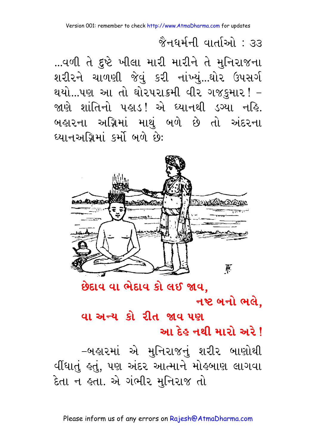Version 001: remember to check http://www.AtmaDharma.com for updates

#### જૈનઘર્મની વાર્તાઓ : ૩૩

...વળી તે દુષ્ટે ખીલા મારી મારીને તે મુનિરાજના શરીરને ચાળણી જેવું કરી નાંખ્યું...ઘોર ઉપસર્ગ થયો...પણ આ તો ઘોરપરાક્રમી વીર ગજૂકુમાર ! – જાણે શાંતિનો પહાડ! એ ધ્યાનથી ડગ્યા નહિ. બહારના અગ્નિમાં માથું બળે છે તો અંદરના <u>દયાનઅગ્રિમાં કર્મો બળે છે:</u>



છેદાવ વા ભેદાવ કો લઈ જાવ. નષ્ટ બનો ભલે.

#### વા અન્ય કો રીત જાવ**પ**ણ આ દેહ નથી મારો અરે !

–બહારમાં એ મુનિરાજનું શરીર બાણોથી વીંધાતું હતું, પણ અંદર આત્માને મોહબાણ લાગવા દેતા ન હતા. એ ગંભીર મનિરાજ તો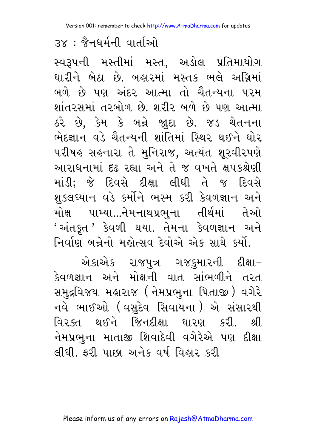### <u> ३४ : જૈનધર્મની વાર્તાઓ</u>

સ્વરૂપની મસ્તીમાં મસ્ત, અડોલ પ્રતિમાયોગ ધારીને બેઠા છે. બહારમાં મસ્તક ભલે અગ્નિમાં બળે છે પણ અંદર આત્મા તો ચૈતન્યના પરમ શાંતરસમાં તરબોળ છે. શરીર બળે છે પણ આત્મા ઠરે છે. કેમ કે બન્ને જાુદા છે. જડ ચેતનના ભેદજ્ઞાન વડે ચૈતન્યની શાંતિમાં સ્થિર થઈને ઘોર પરીષહ સહનારા તે મુનિરાજ, અત્યંત શૂરવીરપણે આરાધનામાં દઢ રહ્યા અને તે જ વખતે ક્ષપકશ્રેણી માંડી; જે દિવસે દીક્ષા લીધી તે જ દિવસે શક્લઘ્યાન વડે કર્મોને ભસ્મ કરી કેવળજ્ઞાન અને મોક્ષ પામ્યા...નેમનાથપ્રભના તીર્થમાં તેઓ 'અંતકૃત ' કેવળી થયા. તેમના કેવળજ્ઞાન અને નિર્વાણ બન્નેનો મહોત્સવ દેવોએ એક સાથે કર્યો.

એકાએક રાજપુત્ર ગજકુમારની દીક્ષા-કેવળજ્ઞાન અને મોક્ષની વાત સાંભળીને તરત સમુદ્રવિજય મહારાજ (નેમપ્રભુના પિતાજી ) વગેરે નવે ભાઈઓ (વસુદેવ સિવાયના) એ સંસારથી વિરક્ત થઈને જિનદીક્ષા ધારણ કરી. શ્રી નેમપ્રભુના માતાજી શિવાદેવી વગેરેએ પણ દીક્ષા લીધી કરી પાછા અનેક વર્ષ વિહાર કરી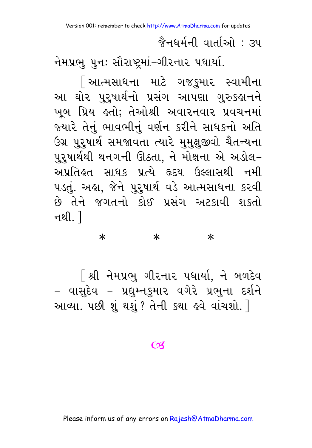Version 001: remember to check http://www.AtmaDharma.com for updates

જૈનઘર્મની વાર્તાઓ <sup>.</sup> ૩૫

નેમપ્રભુ પુનઃ સૌરાષ્ટ્રમાં–ગીરનાર પધાર્યા.

[ આત્મસાધના માટે ગજડુમાર સ્વામીના આ ઘોર પુરૂષાર્થનો પ્રસંગ આપણા ગુરુકહ્રાનને ખૂબ પ્રિય હતો; તેઓશ્રી અવારનવાર પ્રવચનમાં જ્યારે તેનું ભાવભીનું વર્ણન કરીને સાધકનો અતિ ઉગ્ર પુરુષાર્થ સમજાવતા ત્યારે મુમુક્ષુજીવો ચૈતન્યના પુરુષાર્થથી થનગની ઊઠતા, ને મોક્ષના એ અડોલ-અપ્રતિહ્ન સાધક પ્રત્યે હૃદય ઉલ્લાસથી નમી ૫ડતું. અહ્ય, જેને પુરુષાર્થ વડે આત્મસાધના કરવી છે તેને જગતનો કોઈ પ્રસંગ અટકાવી શકતો નથી. $\overline{\phantom{a}}$ 

 $\ast$ 

 $\ast$ 

િશ્રી નેમપ્રભુ ગીરનાર પધાર્યા, ને બળદેવ – વાસુદેવ – પ્રદ્યુમ્નકુમાર વગેરે પ્રભુના દર્શને આવ્યા. પછી શું થશું ? તેની કથા હવે વાંચશો. ]

— ≭

#### $\alpha$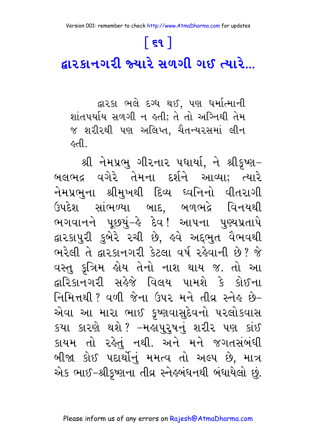### 

## દારકાનગરી જ્યારે સળગી ગઈ ત્યારે

દ્વારકા ભલે દગ્ધ થઈ, પણ ધર્માત્માની શાંતપર્યાય સળગી ન હતી; તે તો અગ્નિથી તેમ જ શરીરથી પણ અલિપ્ત, ચૈતન્યરસમાં લીન લ્તી

શ્રી નેમપ્રભુ ગીરનાર પધાર્યા, ને શ્રીકૃષ્ણ– બલભદ્ર વગેરે તેમના દર્શને આવ્યા; ત્યારે નેમપ્રભુના શ્રીમુખથી દિવ્ય ધ્વનિનો વીતરાગી ઉપદેશ સાંભળ્યા બાદ, બળભદ્રે વિનયથી ભગવાનને પૂછયું-હે દેવ! આપના પુણ્યપ્રતાપે દ્વારકાપુરી કુબેરે રચી છે, હવે અદ્દભુત વૈભવથી ભરેલી તે દ્વારકાનગરી કેટલા વર્ષ રહેવાની છે? જે વસ્તુ કૂત્રિમ હોય તેનો નાશ થાય જ. તો આ દ્વારિકાનગરી સહેજે વિલય પામશે કે કોઈના નિમિત્તથી ? વળી જેના ઉપર મને તીવ્ર સ્નેહ છે– એવા આ મારા ભાઈ કૃષ્ણવાસુદેવનો પરલોકવાસ કયા કારણે થશે? –મહાપુરુષનું શરીર પણ કાંઈ કાયમ તો રહેતું નથી. અને મને જગતસંબંધી બીજા કોઈ પદાર્થોનું મમત્વ તો અલ્પ છે, માત્ર એક ભાઈ-શ્રીકૃષ્ણના તીવ્ર સ્નેહબંધનથી બંધાયેલો છું.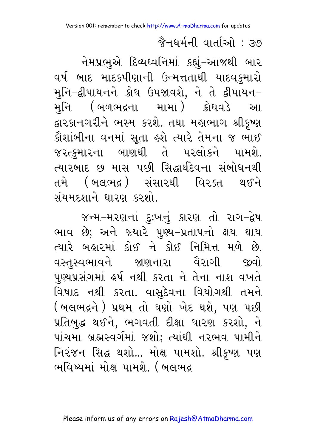#### જૈનધર્મની વાર્તાઓ : ૩૭

નેમપ્રભુએ દિવ્યધ્વનિમાં કહ્યું–આજથી બાર વર્ષ બાદ માદકપીણાની ઉન્મત્તતાથી યાદવકુમારો મુનિ–દ્વીપાયનને ક્રોધ ઉપજાવશે, ને તે દ્વીપાયન– મુનિ (બળભદ્રના મામા) ક્રોધવડે  $\overline{3}$ । દ્વારકાનગરીને ભસ્મ કરશે. તથા મહાભાગ શ્રીકૃષ્ણ કૌશાંબીના વનમાં સૂતા હશે ત્યારે તેમના જ ભાઈ જરત્કુમારના બાણથી તે પરલોકને પામશે. ત્યારબાદ છ માસ પછી સિદ્ધાર્થદેવના સંબોધનથી તમે (બલભદ્ર) સંસારથી વિરક્ત થઈને સંયમદશાને ધારણ કરશો.

જન્મ-મરણનાં દુઃખનું કારણ તો રાગ-દ્વેષ ભાવ છે; અને જ્યારે પુણ્ય-પ્રતાપનો ક્ષય થાય ત્યારે બહારમાં કોઈ ને કોઈ નિમિત્ત મળે છે. વસ્તુસ્વભાવને જાણનારા વૈરાગી જીવો પુરપપ્રસંગમાં હર્ષ નથી કરતા ને તેના નાશ વખતે વિષાદ નથી કરતા. વાસુદેવના વિયોગથી તમને (બલભદ્રને) પ્રથમ તો ઘણો ખેદ થશે, પણ પછી પ્રતિબુદ્ધ થઈને, ભગવતી દીક્ષા ધારણ કરશો, ને પાંચમા બ્રહ્મસ્વર્ગમાં જશો; ત્યાંથી નરભવ પામીને નિરંજન સિદ્ધ થશો... મોક્ષ પામશો. શ્રીકૃષ્ણ પણ ભવિષ્યમાં મોક્ષ પામશે. (બલભદ્ર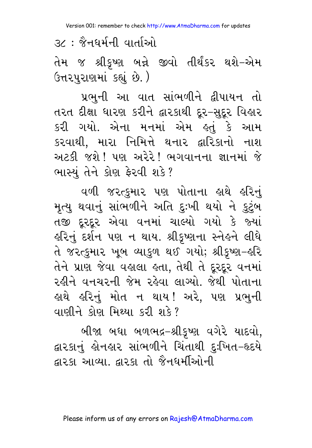૩૮ : જૈનઘર્મની વાર્તાઓ તેમ જ શ્રીકૃષ્ણ બન્ને જીવો તીર્થંકર થશે–એમ ઉત્તરપુરાણમાં કહ્યું છે.)

પ્રભુની આ વાત સાંભળીને દ્વીપાયન તો તરત દીક્ષા ધારણ કરીને દ્વારકાથી દૂર–સુદૂર વિહાર કરી ગયો. એના મનમાં એમ હતું કે આમ કરવાથી. મારા નિમિત્તે થનાર દ્વારિકાનો નાશ અટકી જશે! પણ અરેરે! ભગવાનના જ્ઞાનમાં જે ભાસ્યું તેને કોણ ફેરવી શકે?

વળી જરત્કુમાર પણ પોતાના હાથે હરિનું મૃત્યુ થવાનું સાંભળીને અતિ દુઃખી થયો ને કુટુંબ તજી દરદર એવા વનમાં ચાલ્યો ગયો કે જ્યાં હરિનું દર્શન પણ ન થાય. શ્રીકૃષ્ણના સ્નેહને લીધે તે જરત્કુમાર ખૂબ વ્યાકુળ થઈ ગયો; શ્રીકૃષ્ણ-હરિ તેને પ્રાણ જેવા વહાલા હતા, તેથી તે દૂરદૂર વનમાં રહીને વનચરની જેમ રહેવા લાગ્યો. જેથી પોતાના હાથે હરિનું મોત ન થાય! અરે, પણ પ્રભુની વાણીને કોણ મિથ્યા કરી શકે?

બીજા બધા બળભદ્ર–શ્રીકૃષ્ણ વગેરે યાદવો, દ્વારકાનું ક્રોનકાર સાંભળીને ચિંતાથી દુઃખિત-હૃદયે દારશ આવ્યા. દારશ તો જૈનધર્મીઓની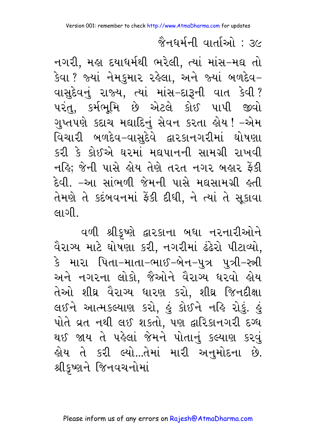#### જૈનધર્મની વાર્તાઓ : ૩૯

નગરી. મહા દયાધર્મથી ભરેલી. ત્યાં માંસ–મઘ તો કેવા ? જ્યાં નેમકુમાર રહેલા. અને જ્યાં બળદેવ– વાસદેવનં રાજ્ય. ત્યાં માંસ–દારૂની વાત કેવી? પરંતુ, કર્મભૂમિ છે એટલે કોઈ પાપી જીવો ગુપ્તપણે કદાચ મઘાદિનું સેવન કરતા હોય ! –એમ વિચારી બળદેવ–વાસુદેવે દ્વારકાનગરીમાં ઘોષણા કરી કે કોઈએ ઘરમાં મઘપાનની સામગ્રી રાખવી નહિ; જેની પાસે હોય તેણે તરત નગર બહાર ફેંકી દેવી. –આ સાંભળી જેમની પાસે મદ્યસામગ્રી હતી તેમણે તે કદંબવનમાં ફેંકી દીધી, ને ત્યાં તે સૂકાવા લાગી

વળી શ્રીકૃષ્ણે દ્વારકાના બધા નરનારીઓને વૈરાગ્ય માટે ઘોષણા કરી, નગરીમાં ઢંઢેરો પીટાવ્યો, કે મારા પિતા–માતા–ભાઈ–બેન–પત્ર પત્રી–સ્ત્રી અને નગરના લોકો, જૈઓને વૈરાગ્ય ધરવો હોય તેઓ શીઘ્ર વૈરાગ્ય ધારણ કરો, શીઘ્ર જિનદીક્ષા લઈને આત્મકલ્યાણ કરો, હું કોઈને નહિ રોકું. હું પોતે વ્રત નથી લઈ શકતો, પણ દ્વારિકાનગરી દગ્ધ થઈ જાય તે પહેલાં જેમને પોતાનું કલ્યાણ કરવું <u>હોય તે કરી લ્યો...તેમાં મારી અનમોદના છે.</u> શ્રીકૃષ્ણને જિનવચનોમાં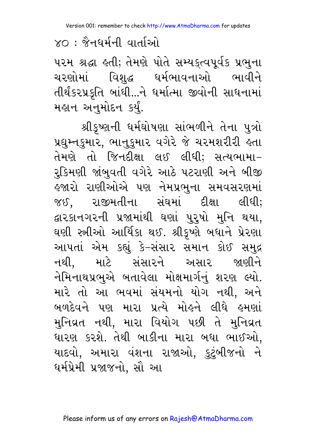#### $\times$ ೧ : જૈનધર્મની વાર્તાઓ

૫૨મ શ્રદ્ધા હતી; તેમણે પોતે સમ્યક્ત્વપૂર્વક પ્રભુના ચરણોમાં વિશુદ્ધ ધર્મભાવનાઓ ભાવીને તીર્થંકરપ્રકૃતિ બાંધી...ને ધર્માત્મા જીવોની સાધનામાં મહાન અનુમોદન કર્યું.

શ્રીકૃષ્ણની ધર્મઘોષણા સાંભળીને તેના પુત્રો પ્રદ્યુમ્નકુમાર, ભાનુકુમાર વગેરે જે ચરમશરીરી હતા તેમણે તો જિનદીક્ષા લઈ લીધી; સત્યભામા-રુકિમણી જાંબુવતી વગેરે આઠે પટરાણી અને બીજી ઙુજારો રાણીઓએ પણ નેમપ્રભુના સમવસરણમાં જઈ, રાજીમતીના સંઘમાં દીક્ષા લીધી; દ્વારકાનગરની પ્રજામાંથી ઘણાં પુરુષો મુનિ થયા, ઘણી સ્ત્રીઓ આર્યિકા થઈ. શ્રીકૃષ્ણે બધાને પ્રેરણા આપતાં એમ કહ્યું કે–સંસાર સમાન કોઈ સમુદ્ર નથી, માટે સંસારને અસાર જાણીને નેમિનાથપ્રભુએ બતાવેલા મોક્ષમાર્ગનું શરણ લ્યો. મારે તો આ ભવમાં સંયમનો યોગ નથી, અને બળદેવને પણ મારા પ્રત્યે મોહને લીધે હમણાં મુનિવ્રત નથી, મારા વિયોગ પછી તે મુનિવ્રત ધારણ કરશે. તેથી બાકીના મારા બધા ભાઈઓ, યાદવો, અમારા વંશના રાજાઓ, કુટુંબીજનો ને ઘર્મપ્રેમી પ્રજાજનો. સૌ આ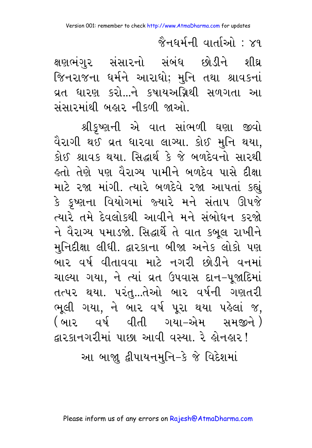$\hat{\%}$ नधर्मनी वार्ताઓ : ४१

ક્ષણભંગર સંસારનો સંબંધ છોડીને શીઘ્ર જિનરાજના ધર્મને આરાધો; મુનિ તથા શ્રાવકનાં વ્રત ધારણ કરો...ને કષાયઅગ્રિથી સળગતા આ સંસારમાંથી બહાર નીકળી જાઓ.

શ્રીકૃષ્ણની એ વાત સાંભળી ઘણા જીવો વૈરાગી થઈ વ્રત ધારવા લાગ્યા. કોઈ મુનિ થયા, કોઈ શ્રાવક થયા. સિદ્ધાર્થ કે જે બળદેવનો સારથી હતો તેણે પણ વૈરાગ્ય પામીને બળદેવ પાસે દીક્ષા માટે ૨જા માંગી. ત્યારે બળદેવે ૨જા આપતાં કહ્યં કે કૃષ્ણના વિયોગમાં જ્યારે મને સંતાપ ઊપજે ત્યારે તમે દેવલોકથી આવીને મને સંબોધન કરજો ને વૈરાગ્ય ૫માડજો. સિદ્ધાર્થે તે વાત કબુલ રાખીને મુનિદીક્ષા લીધી. દ્વારકાના બીજા અનેક લોકો પણ બાર વર્ષ વીતાવવા માટે નગરી છોડીને વનમાં ચાલ્યા ગયા, ને ત્યાં વ્રત ઉપવાસ દાન–પૂજાદિમાં તત્પર થયા. પરંતુ...તેઓ બાર વર્ષની ગણતરી ભૂલી ગયા, ને બાર વર્ષ પૂરા થયા પહેલાં જ, (બાર વર્ષ વીતી ગયા–એમ સમજીને) દ્વારકાનગરીમાં પાછા આવી વસ્યા. રે હોનહાર! આ બાજાુ દ્વીપાયનમુનિ-કે જે વિદેશમાં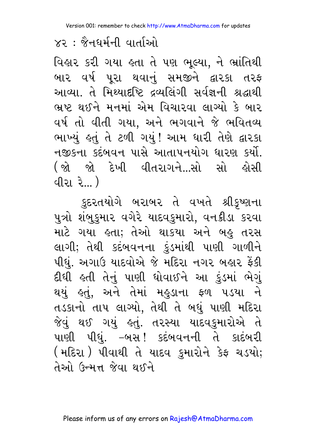### ४२ : જૈનઘર્મની વાર્તાઓ

વિહાર કરી ગયા હતા તે પણ ભૂલ્યા, ને ભ્રાંતિથી બાર વર્ષ પૂરા થવાનું સમજીને દ્વારકા તરફ આવ્યા. તે મિથ્યાદષ્ટિ દ્રવ્યલિંગી સર્વજ્ઞની શ્રદ્ધાથી ભ્રષ્ટ થઈને મનમાં એમ વિચારવા લાગ્યો કે બાર વર્ષ તો વીતી ગયા, અને ભગવાને જે ભવિતવ્ય ભાખ્યું હતું તે ટળી ગયું! આમ ધારી તેણે દ્વારકા નજીકના કદંબવન પાસે આતાપનયોગ ધારણ કર્યો. (જો જો દેખી વીતરાગને...સો સો હોસી વીરા રે $\rightarrow$ 

કુદરતયોગે બરાબર તે વખતે શ્રીકૃષ્ણના પુત્રો શંબુકુમાર વગેરે યાદવકુમારો, વનક્રીડા કરવા માટે ગયા હતા; તેઓ થાકયા અને બહુ તરસ લાગી; તેથી કદંબવનના કંડમાંથી પાણી ગાળીને પીધું. અગાઉ યાદવોએ જે મદિરા નગર બહાર ફેંકી દીધી હતી તેનું પાણી ધોવાઈને આ કુંડમાં ભેગું થયું હતું, અને તેમાં મહુડાના ફળ ૫ડયા ને તડકાનો તાપ લાગ્યો, તેથી તે બધું પાણી મદિરા જેવું થઈ ગયું ક્રતું. તરસ્યા યાદવકુમારોએ તે પાણી પીધું. –બસ! કદંબવનની તે કાદંબરી (મદિરા ) પીવાથી તે યાદવ કુમારોને કેફ ચડયો; તેઓ ઉન્મત્ત જેવા થઈને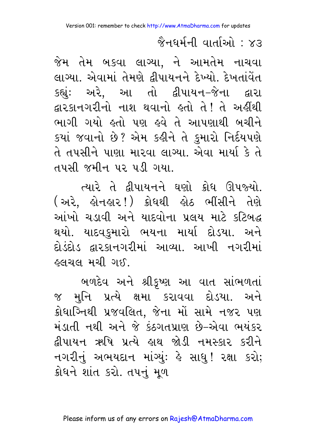#### $\hat{\mathcal{X}}$ नधर्मनी वार्ताઓ : ४३

જેમ તેમ બકવા લાગ્યા, ને આમતેમ નાચવા લાગ્યા. એવામાં તેમણે દ્વીપાયનને દેખ્યો. દેખતાંવેત કહ્યંઃ અરે. આ તો દીપાયન–જેના દ્રારા દ્વારકાનગરીનો નાશ થવાનો હતો તે! તે અહીંથી ભાગી ગયો હતો પણ હવે તે આપણાથી બચીને કયાં જવાનો છે? એમ કહીને તે કુમારો નિર્દયપણે તે તપસીને પાણા મારવા લાગ્યા. એવા માર્યા કે તે તપસી જમીન પર પડી ગયા.

ત્યારે તે દ્વીપાયનને ઘણો ક્રોધ ઊપજ્યો. (અરે, કોનકાર!) ક્રોધથી ક્રોઠ ભીંસીને તેણે આંખો ચડાવી અને યાદવોના પ્રલય માટે કટિબદ્ધ થયો. યાદવકુમારો ભયના માર્યા દોડયા. અને દોડંદોડ દ્રારકાનગરીમાં આવ્યા. આખી નગરીમાં ઢલચલ મચી ગઈ

બળદેવ અને શ્રીકૃષ્ણ આ વાત સાંભળતાં જ મુનિ પ્રત્યે ક્ષમા કરાવવા દોડયા. અને ક્રોધાગ્નિથી પ્રજવલિત, જેના મોં સામે નજર પણ મંડાતી નથી અને જે કંઠગતપ્રાણ છે-એવા ભયંકર દ્રીપાયન ઋષિ પ્રત્યે હાથ જોડી નમસ્કાર કરીને ક્રોધને શાંત કરો. તપનં મળ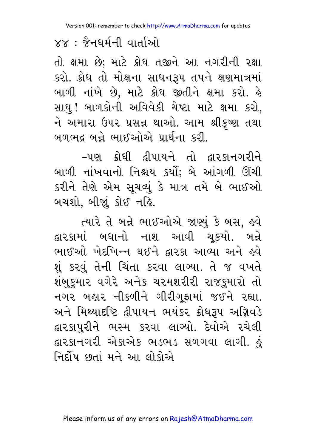### $\times\times$  : જૈનધર્મની વાર્તાઓ

તો ક્ષમા છે; માટે ક્રોધ તજીને આ નગરીની રક્ષા કરો. ક્રોધ તો મોક્ષના સાધનરૂપ તપને ક્ષણમાત્રમાં બાળી નાંખે છે, માટે ક્રોધ જીતીને ક્ષમા કરો. હે સાધુ! બાળકોની અવિવેકી ચેષ્ટા માટે ક્ષમા કરો, ને અમારા ઉપર પ્રસન્ન થાઓ. આમ શ્રીક્રૃષ્ણ તથા બળભદ બન્ને ભાઈઓએ પ્રાર્થના કરી

–પણ ક્રોધી દ્વીપાયને તો દ્વારકાનગરીને બાળી નાંખવાનો નિશ્ચય કર્યો; બે આંગળી ઊંચી કરીને તેણે એમ સુચવ્યું કે માત્ર તમે બે ભાઈઓ બચશો, બીજાં કોઈ નહિ.

ત્યારે તે બન્ને ભાઈઓએ જાણ્યું કે બસ, હવે દ્વારકામાં બધાનો નાશ આવી ચકચો. બન્ને ભાઈઓ ખેદખિન્ન થઈને દ્વારકા આવ્યા અને હવે શું કરવું તેની ચિંતા કરવા લાગ્યા. તે જ વખતે શંબુકુમાર વગેરે અનેક ચરમશરીરી રાજકુમારો તો નગર બહાર નીકળીને ગીરીગુફામાં જઈને રહ્યા. અને મિથ્યાદષ્ટિ દ્વીપાયન ભયંકર ક્રોધરૂપ અગ્નિવડે દ્વારકાપુરીને ભસ્મ કરવા લાગ્યો. દેવોએ રચેલી દ્વારકાનગરી એકાએક ભડભડ સળગવા લાગી. <u>હું</u> નિર્દોષ છતાં મને આ લોકોએ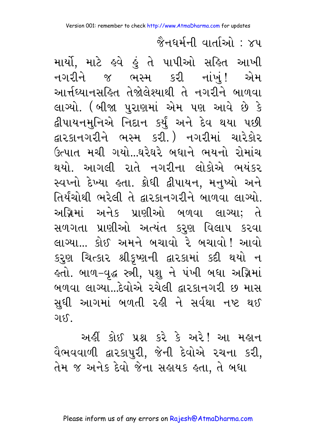જૈનઘર્મની વાર્તાઓ : xપ

માર્યો, માટે હવે હું તે પાપીઓ સહિત આખી નગરીને જ ભસ્મ કરી નાંખું! એમ આર્તઘ્યાનસહિત તેજોલેશ્યાથી તે નગરીને બાળવા લાગ્યો. (બીજા પુરાણમાં એમ પણ આવે છે કે દ્વીપાયનમુનિએ નિદાન કર્યું અને દેવ થયા પછી દ્વારકાનગરીને ભસ્મ કરી.) નગરીમાં ચારેકોર ઉત્પાત મચી ગયો..ઘરેઘરે બધાને ભયનો રોમાંચ થયો. આગલી રાતે નગરીના લોકોએ ભયંકર સ્વપ્નો દેખ્યા હતા. ક્રોધી દ્વીપાયન, મનુષ્યો અને તિર્યચોથી ભરેલી તે દ્વારકાનગરીને બાળવા લાગ્યો. અગ્નિમાં અનેક પ્રાણીઓ બળવા લાગ્યા; તે સળગતા પ્રાણીઓ અત્યંત કરુણ વિલાપ કરવા લાગ્યા - કોઈ અમને બચાવો રે બચાવો ! આવો કરૂણ ચિત્કાર શ્રીકૃષ્ણની દ્વારકામાં કદી થયો ન લ્તો. બાળ−વૃદ્ધ સ્ત્રી, પશુ ને પંખી બધા અગ્નિમાં બળવા લાગ્યા દેવોએ રચેલી દ્વારકાનગરી છ માસ સઘી આગમાં બળતી રહી ને સર્વથા નષ્ટ થઈ  $3810$ 

અહીં કોઈ પ્રશ્ન કરે કે અરે! આ મહાન વૈભવવાળી દ્વારકાપુરી, જેની દેવોએ રચના કરી, તેમ જ અનેક દેવો જેના સહાયક હતા. તે બધા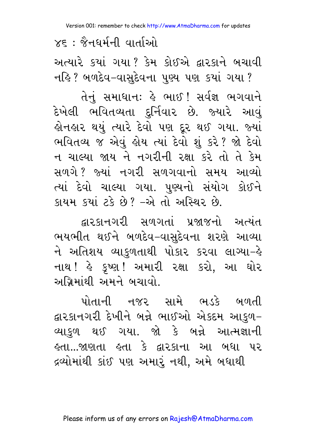$\times$ ६ : જૈનધર્મની વાર્તાઓ

અત્યારે કયાં ગયા ? કેમ કોઈએ દ્વારકાને બચાવી નહિ ? બળદેવ–વાસુદેવના પુણ્ય પણ કયાં ગયા ?

તેનું સમાધાનઃ કે ભાઈ! સર્વજ્ઞ ભગવાને દેખેલી ભવિતવ્યતા દુર્નિવાર છે. જ્યારે આવું હોનહાર થયું ત્યારે દેવો પણ દૂર થઈ ગયા. જ્યાં ભવિતવ્ય જ એવું હોય ત્યાં દેવો શું કરે? જો દેવો ન ચાલ્યા જાય ને નગરીની રક્ષા કરે તો તે કેમ સળગે ? જ્યાં નગરી સળગવાનો સમય આવ્યો ત્યાં દેવો ચાલ્યા ગયા. પુણ્યનો સંયોગ કોઈને કાયમ કર્યા ટકે છે? –એ તો અસ્થિર છે.

દ્વારકાનગરી સળગતાં પ્રજાજનો અત્યંત ભયભીત થઈને બળદેવ–વાસુદેવના શરણે આવ્યા ને અતિશય વ્યાકુળતાથી પોકાર કરવા લાગ્યા–હે નાથ ! હે કૂષ્ણ ! અમારી રક્ષા કરો, આ ઘોર અગ્રિમાંથી અમને બચાવો.

પોતાની નજર સામે ભડકે બળતી દ્વારકાનગરી દેખીને બન્ને ભાઈઓ એકદમ આકુળ-વ્યાકુળ થઈ ગયા. જો કે બન્ને આત્મજ્ઞાની હતા...જાણતા હતા કે દ્વારકાના આ બધા પર દ્રવ્યોમાંથી કાંઈ પણ અમારૂં નથી, અમે બધાથી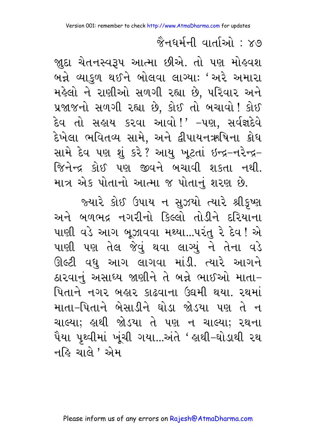#### જૈનઘર્મની વાર્તાઓ : ૪૭

જાુદા ચેતનસ્વરૂપ આત્મા છીએ. તો પણ મોહવશ બન્ને વ્યાકુળ થઈને બોલવા લાગ્યાઃ 'અરે અમારા મહેલો ને રાણીઓ સળગી રહ્યા છે. પરિવાર અને પ્રજાજનો સળગી રહ્યા છે, કોઈ તો બચાવો ! કોઈ દેવ તો સહાય કરવા આવો!' –૫ણ, સર્વજ્ઞદેવે દેખેલા ભવિતવ્ય સામે, અને દ્વીપાયનઋષિના ક્રોધ સામે દેવ પણ શું કરે? આયુ ખૂટતાં ઇન્દ્ર-નરેન્દ્ર-જિનેન્દ્ર કોઈ પણ જીવને બચાવી શકતા નથી. માત્ર એક પોતાનો આત્મા જ પોતાનું શરણ છે.

જ્યારે કોઈ ઉપાય ન સુઝયો ત્યારે શ્રીકૃષ્ણ અને બળભદ્ર નગરીનો કિલ્લો તોડીને દરિયાના પાણી વડે આગ બુઝાવવા મથ્યા...પરંતુ રે દેવ ! એ પાણી પણ તેલ જેવું થવા લાગ્યું ને તેના વડે ઊલ્ટી વધુ આગ લાગવા માંડી. ત્યારે આગને 8ારવાનું અસાધ્ય જાણીને તે બન્ને ભાઈઓ માતા-પિતાને નગર બહાર કાઢવાના ઉદ્યમી થયા. રથમાં માતા-પિતાને બેસાડીને ઘોડા જોડયા પણ તે ન ચાલ્યા; હાથી જોડયા તે પણ ન ચાલ્યા; રથના પૈયા પૃથ્વીમાં ખૂંચી ગયા...અંતે 'હાથી–ઘોડાથી રથ न**ि ચा**લે ' એમ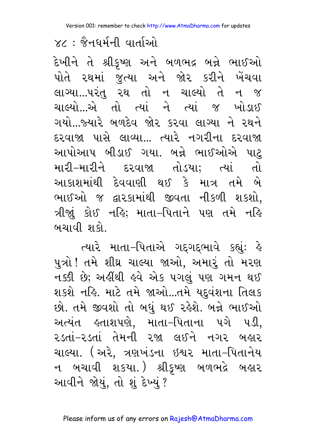## ૪૮ : જૈનઘર્મની વાર્તાઓ

દેખીને તે શ્રીકૃષ્ણ અને બળભદ્ર બન્ને ભાઈઓ પોતે રથમાં જુત્યા અને જોર કરીને ખેંચવા લાગ્યા...૫રંતુ ૨થ તો ન ચાલ્યો તે ન જ ચાલ્યો...એ તો ત્યાં ને ત્યાં જ ખોડાઈ ગયો...જ્યારે બળદેવ જોર કરવા લાગ્યા ને રથને દરવાજા પાસે લાવ્યા… ત્યારે નગરીના દરવાજા આપોઆપ બીડાઈ ગયા. બન્ને ભાઈઓએ પાટ મારી-મારીને દરવાજા તોડયા; ત્યાં તો આકાશમાંથી દેવવાણી થઈ કે માત્ર તમે બે ભાઈઓ જ દ્વારકામાંથી જીવતા નીકળી શકશો. ત્રીજ્ઞું કોઈ નહિ; માતા-પિતાને પણ તમે નહિ બચાવી શકો

ત્યારે માતા–પિતાએ ગદગદભાવે કહ્યં: હે પુત્રો ! તમે શીઘ્ર ચાલ્યા જાઓ, અમારૂં તો મરણ નક્કી છે; અહીંથી હવે એક પગલું પણ ગમન થઈ શકશે નહિ. માટે તમે જાઓ...તમે યદુવંશના તિલક છો. તમે જીવશો તો બધું થઈ રહેશે. બન્ને ભાઈઓ અત્યંત હતાશપણે, માતા–પિતાના પગે પડી, ૨ડતાં–૨ડતાં તેમની ૨જા લઈને નગર બહાર ચાલ્યા. (અરે, ત્રણખંડના ઇશ્વર માતા–પિતાનેય ન બચાવી શકયા.) શ્રીકૃષ્ણ બળભદ્રે બહાર આવીને જોયું, તો શું દેખ્યું ?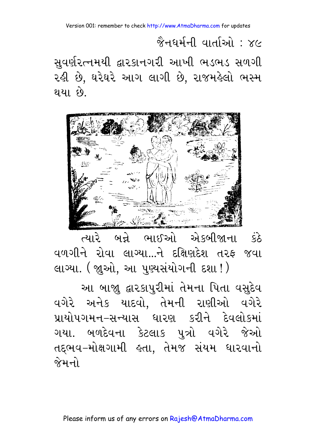જૈનઘર્મની વાર્તાઓ : ૪૯

સુવર્ણરત્નમયી દ્વારકાનગરી આખી ભડભડ સળગી રહી છે. ઘરેઘરે આગ લાગી છે. રાજમહેલો ભસ્મ થયા છે.



ત્યારે બન્ને ભાઈઓ એકબીજાના કંઠે વળગીને રોવા લાગ્યા…ને દક્ષિણદેશ તરફ જવા લાગ્યા. ( જાુઓ, આ પુણ્યસંયોગની દશા ! )

આ બાજ્ય દ્વારકાપુરીમાં તેમના પિતા વસુદેવ વગેરે અનેક યાદવો, તેમની રાણીઓ વગેરે પ્રાયોપગમન-સન્યાસ ધારણ કરીને દેવલોકમાં ગયા. બળદેવના કેટલાક પુત્રો વગેરે જેઓ તદ્દભવ–મોક્ષગામી ક્રતા, તેમજ સંયમ ધારવાનો જેમનો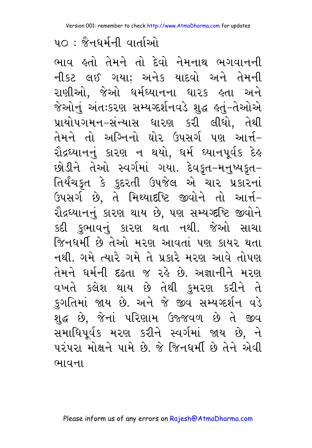### $\mathsf{u}\mathsf{o}$  : જૈનધર્મની વાર્તાઓ

ભાવ હતો તેમને તો દેવો નેમનાથ ભગવાનની નીકટ લઈ ગયા; અનેક યાદવો અને તેમની રાણીઓ, જેઓ ધર્મધ્યાનના ધારક હતા અને જેઓનું અંતઃકરણ સમ્યગ્દર્શનવડે શુદ્ધ હતું-તેઓએ પ્રાયોપગમન–સંન્યાસ ધારણ કરી લીધો, તેથી .<br>તેમને તો અગ્નિનો ઘોર ઉપસર્ગ પણ આર્ત્ત-રૌદ્રધ્યાનનું કારણ ન થયો, ઘર્મ ધ્યાનપુર્વક દેહ છોડીને તેઓ સ્વર્ગમાં ગયા. દેવકૃત–મનુષ્યકૃત– તિર્યચકૃત કે કુદરતી ઉપજેલ એ ચાર પ્રકારનાં ઉપસર્ગ છે, તે મિથ્યાદષ્ટિ જીવોને તો આર્ત્ત-રૌદ્રઘ્યાનનું કારણ થાય છે. પણ સમ્યગ્દષ્ટિ જીવોને કદી કુભાવનું કારણ થતા નથી. જેઓ સાચા જિનધર્મી છે તેઓ મરણ આવતાં પણ કાયર થતા નથી. ગમે ત્યારે ગમે તે પ્રકારે મરણ આવે તોપણ તેમને ધર્મની દઢતા જ રહે છે. અજ્ઞાનીને મરણ વખતે કલેશ થાય છે તેથી કુમરણ કરીને તે કુગતિમાં જાય છે. અને જે જીવ સમ્યગ્દર્શન વડે શદ્ધ છે. જેનાં પરિણામ ઉજ્જવળ છે તે જીવ સમાધિપૂર્વક મરણ કરીને સ્વર્ગમાં જાય છે, ને પરંપરા મોક્ષને પામે છે જે જિનધર્મી છે તેને એવી ભાવના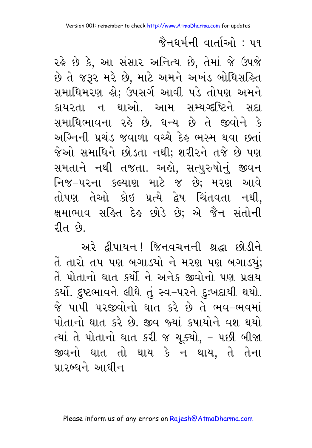#### જૈનઘર્મની વાર્તાઓ : ૫૧

રહે છે કે. આ સંસાર અનિત્ય છે. તેમાં જે ઉપજે છે તે જરૂર મરે છે. માટે અમને અખંડ બોધિસહિત સમાધિમરણ હો: ઉપસર્ગ આવી પડે તોપણ અમને કાયરતા ન થાઓ. આમ સમ્યગ્દષ્ટિને સદા સમાધિભાવના રહે છે. ધન્ય છે તે જીવોને કે અગ્નિની પ્રચંડ જવાળા વચ્ચે દેહ ભસ્મ થવા છતાં જેઓ સમાધિને છોડતા નથી; શરીરને તજે છે પણ સમતાને નથી તજતા. અહો, સત્પુરુષોનું જીવન નિજ–પરના કલ્યાણ માટે જ છે: મરણ આવે તોપણ તેઓ કોઇ પ્રત્યે દ્વેષ ચિંતવતા નથી, ક્ષમાભાવ સહિત દેહ છોડે છે: એ જૈન સંતોની રીત છે.

અરે દીપાયન! જિનવચનની શ્રદ્ધા છોડીને તેં તારો તપ પણ બગાડયો ને મરણ પણ બગાડયં: તેં પોતાનો ઘાત કર્યો ને અનેક જીવોનો પણ પ્રલય કર્યો. દુષ્ટભાવને લીધે તું સ્વ-પરને દુઃખદાયી થયો. જે પાપી પરજીવોનો ઘાત કરે છે તે ભવ-ભવમાં પોતાનો ઘાત કરે છે. જીવ જ્યાં કપાયોને વશ થયો ત્યાં તે પોતાનો ઘાત કરી જ ચુક્યો, – પછી બીજા જીવનો ઘાત તો થાય કે ન થાય, તે તેના પ્રારબ્ધને આધીન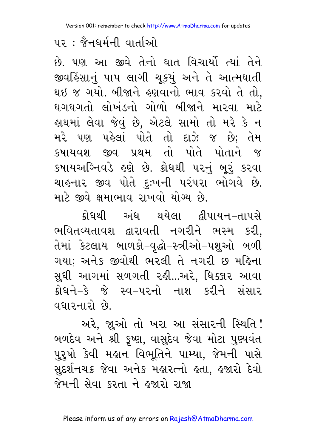### <u> ५२ : જૈનઘર્મની વાર્તાઓ</u>

છે. પણ આ જીવે તેનો ઘાત વિચાર્યો ત્યાં તેને જીવર્હિસાનું પાપ લાગી ચૂકયું અને તે આત્મઘાતી થઇ જ ગયો. બીજાને હણવાનો ભાવ કરવો તે તો, ધગધગતો લોખંડનો ગોળો બીજાને મારવા માટે હાથમાં લેવા જેવું છે, એટલે સામો તો મરે કે ન મરે પણ પહેલાં પોતે તો દાઝે જ છે: તેમ કષાયવશ જીવ પ્રથમ તો પોતે પોતાને જ કષાયઅગ્નિવડે હણે છે. ક્રોધથી ૫૨નું બૂરું કરવા ચાહનાર જીવ પોતે દુઃખની પરંપરા ભોગવે છે. માટે જીવે ક્ષમાભાવ રાખવો યોગ્ય છે.

ક્રોધથી અંધ થયેલા દ્વીપાયન–તાપસે ભવિતવ્યતાવશ દ્વારાવતી નગરીને ભસ્મ કરી. તેમાં કેટલાય બાળકો–વૃદ્ધો–સ્ત્રીઓ–પશુઓ બળી ગયા: અનેક જીવોથી ભરલી તે નગરી છ મહિના સુધી આગમાં સળગતી રહી...અરે, ધિક્કાર આવા ક્રોધને–કે જે સ્વ–પરનો નાશ કરીને સંસાર  $q\bar{q}$ 

અરે, જાુઓ તો ખરા આ સંસારની સ્થિતિ ! બળદેવ અને શ્રી કૃષ્ણ, વાસુદેવ જેવા મોટા પુણ્યવંત પુરૃષો કેવી મહાન વિભૂતિને પામ્યા, જેમની પાસે સુદર્શનચક્ર જેવા અનેક મહારત્નો હતા, હજારો દેવો જેમની સેવા કરતા ને હજારો રાજા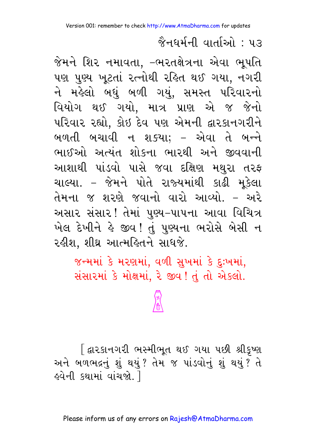Version 001: remember to check http://www.AtmaDharma.com for updates

#### જૈનધર્મની વાર્તાઓ : ૫૩

જેમને શિર નમાવતા, –ભરતક્ષેત્રના એવા ભૂપતિ પણ પુણ્ય ખૂટતાં રત્નોથી રહિત થઈ ગયા, નગરી ને મહેલો બધું બળી ગયું, સમસ્ત પરિવારનો વિયોગ થઈ ગયો, માત્ર પ્રાણ એ જ જેનો પરિવાર રહ્યો, કોઇ દેવ પણ એમની દ્વારકાનગરીને બળતી બચાવી ન શક્યા; – એવા તે બન્ને ભાઈઓ અત્યંત શોકના ભારથી અને જીવવાની આશાથી પાંડવો પાસે જવા દક્ષિણ મથુરા તરફ ચાલ્યા. – જેમને પોતે રાજ્યમાંથી કાઢી મકેલા તેમના જ શરણે જવાનો વારો આવ્યો. – અરે અસાર સંસાર! તેમાં પુષ્ય–પાપના આવા વિચિત્ર ખેલ દેખીને કે જીવ! તું પુણ્યના ભરોસે બેસી ન રઙીશ. શીઘ્ર આત્મઙિતને સાધજે.

જન્મમાં કે મરણમાં, વળી સુખમાં કે દુઃખમાં, સંસારમાં કે મોક્ષમાં, રે જીવ! તું તો એકલો.

[ દ્વારકાનગરી ભસ્મીભત થઈ ગયા પછી શ્રીકૃષ્ણ અને બળભદ્રનું શું થયું? તેમ જ પાંડવોનું શું થયું? તે ઙ્વેની કથામાં વાંચજો. ી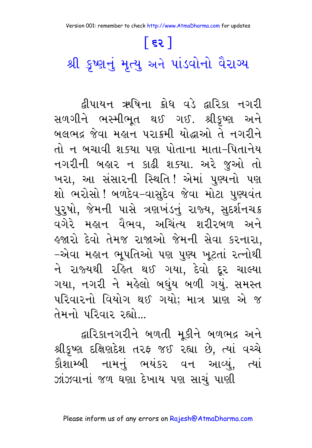#### <u>િદર</u>ી

# શ્રી કૃષ્ણનું મૃત્યુ અને પાંડવોનો વૈરાગ્ય

દીપાયન ઋષિના ક્રોધ વડે દ્વારિકા નગરી સળગીને ભસ્મીભૂત થઈ ગઈ. શ્રીકૃષ્ણ અને બલભદ્ર જેવા મહાન પરાક્રમી યોદ્ધાઓ તે નગરીને તો ન બચાવી શક્યા પણ પોતાના માતા–પિતાનેય નગરીની બહાર ન કાઢી શક્યા. અરે જુઓ તો ખરા, આ સંસારની સ્થિતિ! એમાં પુણ્યનો પણ શો ભરોસો ! બળદેવ–વાસુદેવ જેવા મોટા પુણ્યવંત પુરુષો, જેમની પાસે ત્રણખંડનું રાજ્ય, સુદર્શનચક્ર વગેરે મહાન વૈભવ, અચિંત્ય શરીરબળ અને ઙ્જારો દેવો તેમજ રાજાઓ જેમની સેવા કરનારા. –એવા મહાન ભુપતિઓ પણ પુણ્ય ખુટતાં રત્નોથી ને રાજ્યથી રહિત થઈ ગયા, દેવો દૂર ચાલ્યા ગયા, નગરી ને મહેલો બઘુંય બળી ગયું. સમસ્ત પરિવારનો વિયોગ થઈ ગયો; માત્ર પ્રાણ એ જ તેમનો પરિવાર રહ્યો...

દ્વારિકાનગરીને બળતી મૂકીને બળભદ્ર અને શ્રીકૃષ્ણ દક્ષિણદેશ તરફ જઈ રહ્યા છે, ત્યાં વચ્ચે કૌશામ્બી નામનું ભયંકર વન આવ્યું, ત્યાં ઝાંઝવાનાં જળ ઘણા દેખાય પણ સાચું પાણી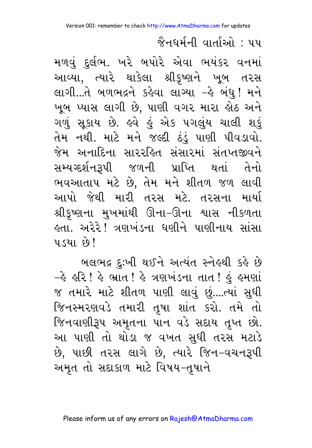#### જૈનઘર્મની વાર્તાઓ : ૫૫

મળવું દુર્લભ. ખરે બપોરે એવા ભયંકર વનમાં આવ્યા, ત્યારે થાકેલા શ્રીકૃષ્ણને ખૂબ તરસ લાગી...તે બળભદ્રને કહેવા લાગ્યા –હે બંધુ! મને ખૂબ પ્યાસ લાગી છે, પાણી વગર મારા હોઠ અને ગળું સુકાય છે. હવે હું એક પગલુંય ચાલી શકું તેમ નથી. માટે મને જલ્દી ઠંડું પાણી પીવડાવો. જેમ અનાદિના સારરહિત સંસારમાં સંતપ્તજીવને સમ્યગ્દર્શનરૂપી જળની પ્રાપ્તિ થતાં તેનો ભવઆતાપ મટે છે. તેમ મને શીતળ જળ લાવી આપો જેથી મારી તરસ મટે. તરસના માર્યા શ્રીકૃષ્ણના મુખમાંથી ઊના–ઊના શ્વાસ નીકળતા હતા. અરેરે! ત્રણખંડના ઘણીને પાણીનાય સાંસા 4.541 801

બલભદ્ર દઃખી થઈને અત્યંત સ્નેહથી કહે છે –હે હરિ! હે ભ્રાત! હે ત્રણખંડના તાત! હું હમણાં જ તમારે માટે શીતળ પાણી લાવું છું....ત્યાં સુધી જિનસ્મરણવડે તમારી તૃષા શાંત કરો. તમે તો જિનવાણીરૂપ અમૃતના પાન વડે સદાય તૃપ્ત છો. આ પાણી તો થોડા જ વખત સુધી તરસ મટાડે છે, પાછી તરસ લાગે છે, ત્યારે જિન-વચનરૂપી અમૃત તો સદાકાળ માટે વિષય–તૃષાને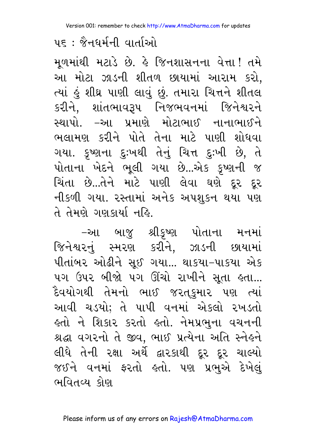### पह : જૈનઘર્મની વાર્તાઓ

મૂળમાંથી મટાડે છે. ે જિનશાસનના વેત્તા! તમે આ મોટા ઝાડની શીતળ છાયામાં આરામ કરો. ત્યાં હું શીઘ્ર પાણી લાવું છું. તમારા ચિત્તને શીતલ કરીને, શાંતભાવરૂપ નિજભવનમાં જિનેશ્વરને સ્થાપો. –આ પ્રમાણે મોટાભાઈ નાનાભાઈને ભલામણ કરીને પોતે તેના માટે પાણી શોધવા ગયા. કૃષ્ણના દુઃખથી તેનું ચિત્ત દુઃખી છે, તે પોતાના ખેદને ભૂલી ગયા છે...એક કૃષ્ણની જ ચિંતા છે...તેને માટે પાણી લેવા ઘણે દુર દુર નીકળી ગયા. રસ્તામાં અનેક અપશુકન થયા પણ તે તેમણે ગણકાર્યા નહિ.

-આ બાજુ શ્રીકૃષ્ણ પોતાના મનમાં જિનેશ્વરનું સ્મરણ કરીને, ઝાડની છાયામાં પીતાંબર ઓઢીને સૂઈ ગયા... થાકયા-પાકયા એક ૫ગ ઉપર બીજો ૫ગ ઊંચો રાખીને સૂતા હતા... દૈવયોગથી તેમનો ભાઈ જરત્ફુમાર પણ ત્યાં આવી ચડયો; તે પાપી વનમાં એકલો ૨ખડતો કતો ને શિકાર કરતો કતો. નેમપ્રભુના વચનની શ્રદ્ધા વગરનો તે જીવ, ભાઈ પ્રત્યેના અતિ સ્નેહને લીધે તેની રક્ષા અર્થે દ્વારકાથી દૂર દૂર ચાલ્યો જઈને વનમાં ફરતો હતો. પણ પ્રભુએ દેખેલું ભવિતવ્ય કોણ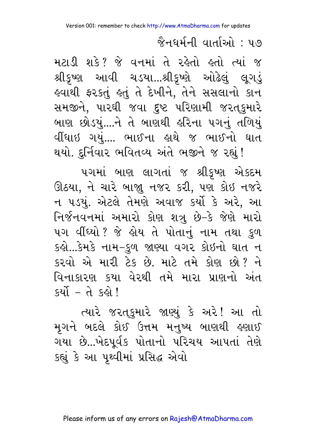Version 001: remember to check http://www.AtmaDharma.com for updates

જૈનઘર્મની વાર્તાઓ : ૫૭

મટાડી શકે? જે વનમાં તે રહેતો હતો ત્યાં જ શ્રીકૃષ્ણ આવી ચડયા...શ્રીકૃષ્ણે ઓઢેલું લૂગડું હવાથી ફરકતું હતું તે દેખીને, તેને સસલાનો કાન સમજીને, પારઘી જવા દુષ્ટ પરિણામી જરત્કુમારે બાણ છોડયું....ને તે બાણથી હરિના પગનું તળિયું વીંધાઇ ગયું.... ભાઈના હાથે જ ભાઈનો ઘાત થયો. દુર્નિવાર ભવિતવ્ય અંતે ભજીને જ રહ્યું !

૫ગમાં બાણ લાગતાં જ શ્રીકૃષ્ણ એકદમ ઊઠયા, ને ચારે બાજા નજર કરી, પણ કોઇ નજરે ન ૫ડયું. એટલે તેમણે અવાજ કર્યો કે અરે, આ નિર્જનવનમાં અમારો કોણ શત્ર છે–કે જેણે મારો ૫ગ વીંધ્યો ? જે હોય તે પોતાનું નામ તથા કુળ કહો...કેમકે નામ–કુળ જાણ્યા વગર કોઇનો ઘાત ન કરવો એ મારી ટેક છે. માટે તમે કોણ છો? ને વિનાકારણ કયા વેરથી તમે મારા પ્રાણનો અંત કર્યો – તે કહો!

ત્યારે જરત્કુમારે જાણ્યું કે અરે! આ તો મૃગને બદલે કોઈ ઉત્તમ મનુષ્ય બાણથી હણાઈ ગયા છે...ખેદપૂર્વક પોતાનો પરિચય આપતાં તેણે કહ્યું કે આ પૃથ્વીમાં પ્રસિદ્ધ એવો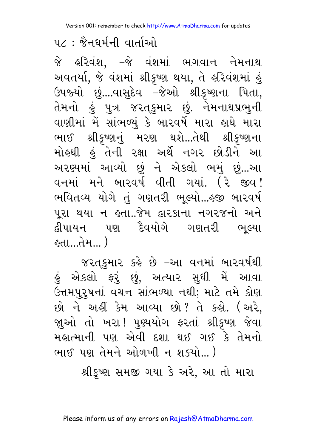### ૫૮ : જૈનઘર્મની વાર્તાઓ

જે ઙ્રરિવંશ, –જે વંશમાં ભગવાન નેમનાથ અવતર્યા, જે વંશમાં શ્રીકૃષ્ણ થયા, તે હરિવંશમાં હું ઉપજ્યો છું....વાસુદેવ –જેઓ શ્રીકૃષ્ણના પિતા, તેમનો હું પુત્ર જરત્<sub>ર્</sub>માર છું. નેમનાથપ્રભુની વાણીમાં મેં સાંભળ્યું કે બારવર્ષે મારા હાથે મારા ભાઈ શ્રીકૃષ્ણનું મરણ થશે...તેથી શ્રીકૃષ્ણના મોહથી હું તેની રક્ષા અર્થે નગર છોડીને આ અરણ્યમાં આવ્યો છું ને એકલો ભમું છું...આ વનમાં મને બારવર્ષ વીતી ગયાં. (૨ે જીવ! ભવિતવ્ય યોગે તું ગણતરી ભૂલ્યો...હજી બારવર્ષ પુરા થયા ન હતા..જેમ દ્વારકાના નગરજનો અને દ્વીપાયન પણ દૈવયોગે ગણતરી ભૂલ્યા ङता तेभ )

જરતુકુમાર કહે છે –આ વનમાં બારવર્ષથી હું એકલો ફરું છું, અત્યાર સુધી મેં આવા ઉત્તમપુરુષનાં વચન સાંભળ્યા નથી; માટે તમે કોણ છો ને અહીં કેમ આવ્યા છો? તે કહો. (અરે, જાઓ તો ખરા! પુણ્યયોગ ફરતાં શ્રીકૃષ્ણ જેવા મહાત્માની પણ એવી દશા થઈ ગઈ કે તેમનો ભાઈ પણ તેમને ઓળખી ન શક્યો...)

શ્રીકૃષ્ણ સમજી ગયા કે અરે. આ તો મારા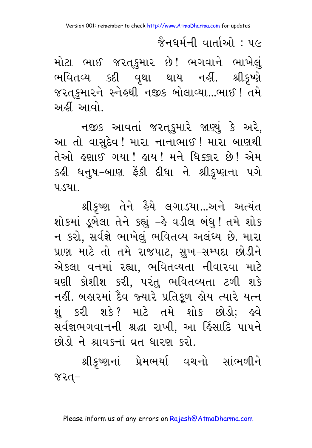Version 001: remember to check http://www.AtmaDharma.com for updates

જૈનઘર્મની વાર્તાઓ : ૫૯

મોટા ભાઈ જરત્કુમાર છે! ભગવાને ભાખેલું ભવિતવ્ય કદી વૃથા થાય નહીં. શ્રીકૃષ્ણે જરતકુમારને સ્નેહથી નજીક બોલાવ્યા...ભાઈ ! તમે અહીં આવો

નજીક આવતાં જરત્ $\S$ મારે જાણ્યું કે અરે, આ તો વાસુદેવ ! મારા નાનાભાઈ ! મારા બાણથી તેઓ હણાઈ ગયા ! હાય ! મને ધિક્કાર છે ! એમ કહી ધનુષ–બાણ ફેંકી દીધા ને શ્રીકૃષ્ણના પગે पउया.

શ્રીકૃષ્ણ તેને હૈયે લગાડયા...અને અત્યંત શોકમાં ડૂબેલા તેને કહ્યું –હે વડીલ બંધુ! તમે શોક ન કરો, સર્વજ્ઞે ભાખેલું ભવિતવ્ય અલંધ્ય છે. મારા પ્રાણ માટે તો તમે રાજપાટ, સુખ-સમ્પદા છોડીને એકલા વનમાં રહ્યા. ભવિતવ્યતા નીવારવા માટે ઘણી કોશીશ કરી, પરંતુ ભવિતવ્યતા ટળી શકે નહીં. બહારમાં દેવ જ્યારે પ્રતિકૂળ હોય ત્યારે યત્ન શું કરી શકે? માટે તમે શોક છોડો; હવે સર્વજ્ઞભગવાનની શ્રદ્ધા રાખી, આ કિંસાદિ પાપને છોડો ને શ્રાવકનાં વ્રત ધારણ કરો.

શ્રીકૃષ્ણનાં પ્રેમભર્યા વચનો સાંભળીને જરત–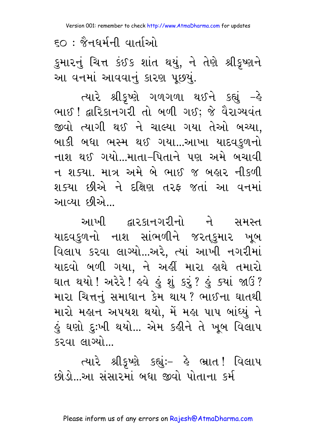$\epsilon$ ૦ : જૈનધર્મની વાર્તાઓ

કુમારનું ચિત્ત કંઈક શાંત થયું, ને તેણે શ્રીકૃષ્ણને આ વનમાં આવવાનું કારણ પૂછયું.

ત્યારે શ્રીકૃષ્ણે ગળગળા થઈને કહ્યું –હે ભાઈ ! દ્વારિકાનગરી તો બળી ગઈ; જે વૈરાગ્યવંત જીવો ત્યાગી થઈ ને ચાલ્યા ગયા તેઓ બચ્યા. બાકી બધા ભસ્મ થઈ ગયા...આખા યાદવકુળનો નાશ થઈ ગયો…માતા–પિતાને પણ અમે બચાવી ન શક્યા. માત્ર અમે બે ભાઈ જ બહાર નીકળી શક્યા છીએ ને દક્ષિણ તરફ જતાં આ વનમાં આવ્યા છીએ...

આખી દ્વારકાનગરીનો ને સમસ્ત યાદવકુળનો નાશ સાંભળીને જરતુકુમાર ખુબ વિલાપ કરવા લાગ્યો...અરે, ત્યાં આખી નગરીમાં યાદવો બળી ગયા, ને અહીં મારા હાથે તમારો ઘાત થયો ! અરેરે ! હવે હું શું કરું ? હું ક્યાં જાઉં ? મારા ચિત્તનું સમાધાન કેમ થાય? ભાઈના ઘાતથી મારો મહાન અપયશ થયો, મેં મહા પાપ બાંધ્યું ને કું ઘણો દુઃખી થયો... એમ કહીને તે ખૂબ વિલાપ કરવા લાગ્યો...

ત્યારે શ્રીકૃષ્ણે કહ્યુંઃ– હે ભ્રાત! વિલાપ છોડો...આ સંસારમાં બધા જીવો પોતાના કર્મ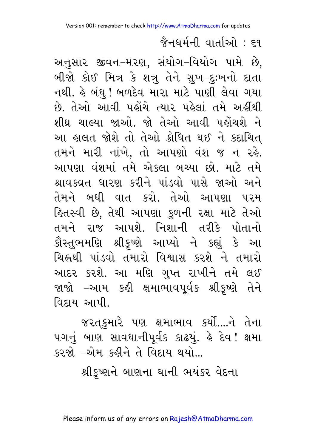જૈનઘર્મની વાર્તાઓ : <del>દ</del>૧

અનુસાર જીવન–મરણ, સંયોગ–વિયોગ પામે છે, બીજો કોઈ મિત્ર કે શત્રુ તેને સુખ-દુઃખનો દાતા નથી. હે બંધુ ! બળદેવ મારા માટે પાણી લેવા ગયા છે. તેઓ આવી પહોંચે ત્યાર પહેલાં તમે અહીંથી શીઘ્ર ચાલ્યા જાઓ. જો તેઓ આવી પહોંચશે ને આ હાલત જોશે તો તેઓ ક્રોધિત થઈ ને કદાચિત્ તમને મારી નાંખે, તો આપણો વંશ જ ન રહે. આપણા વંશમાં તમે એકલા બચ્યા છો. માટે તમે શ્રાવકવ્રત ધારણ કરીને પાંડવો પાસે જાઓ અને તેમને બધી વાત કરો. તેઓ આપણા પરમ હિતસ્વી છે, તેથી આપણા <u>ક</u>ુળની રક્ષા માટે તેઓ તમને રાજ આપશે. નિશાની તરીકે પોતાનો કૌસ્તુભમણિ શ્રીકૃષ્ણે આપ્યો ને કહ્યું કે આ ચિહ્નથી પાંડવો તમારો વિશ્વાસ કરશે ને તમારો આદર કરશે. આ મણિ ગુપ્ત રાખીને તમે લઈ જાજો –આમ કહી ક્ષમાભાવપૂર્વક શ્રીકૃષ્ણે તેને વિદાય આપી

જરતકમારે પણ ક્ષમાભાવ કર્યો....ને તેના પગનું બાણ સાવધાનીપૂર્વક કાઢ્યું. હે દેવ! ક્ષમા કરજો –એમ કહીને તે વિદાય થયો

શ્રીકૃષ્ણને બાણના ઘાની ભયંકર વેદના

Please inform us of any errors on Rajesh@AtmaDharma.com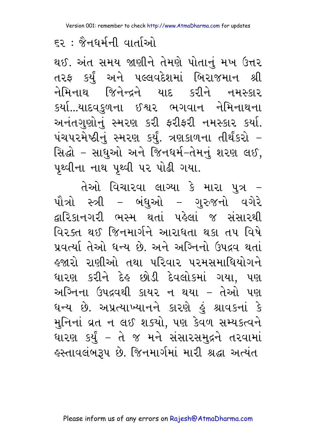## દર : જૈનધર્મની વાર્તાઓ

થઈ. અંત સમય જાણીને તેમણે પોતાનું મખ ઉત્તર તરફ કર્યું અને પલ્લવદેશમાં બિરાજમાન શ્રી નેમિનાથ જિનેન્દને યાદ કરીને નમસ્કાર કર્યા...યાદવડુળના ઈશ્વર ભગવાન નેમિનાથના અનંતગુણોનું સ્મરણ કરી ફરીફરી નમસ્કાર કર્યા. પંચપરમેષ્ઠીનું સ્મરણ કર્યું. ત્રણકાળના તીર્થંકરો – સિદ્ધો – સાધુઓ અને જિનધર્મ–તેમનું શરણ લઈ, પૃથ્વીના નાથ પૃથ્વી પર પોઢી ગયા.

તેઓ વિચારવા લાગ્યા કે મારા પુત્ર – પૌત્રો સ્ત્રી – બંધુઓ – ગુરુજનો વગેરે દ્વારિકાનગરી ભસ્મ થતાં પહેલાં જ સંસારથી વિરક્ત થઈ જિનમાર્ગને આરાધતા થકા તપ વિષે પ્રવર્ત્યા તેઓ ધન્ય છે અને અગ્નિનો ઉપદવ થતાં ધારણ કરીને દેહ છોડી દેવલોકમાં ગયા, પણ અગ્નિના ઉપદ્રવથી કાયર ન થયા – તેઓ પણ ધન્ય છે. અપ્રત્યાખ્યાનને કારણે હું શ્રાવકનાં કે મુનિનાં વ્રત ન લઈ શક્યો, પણ કેવળ સમ્યકત્વને ધારણ કર્યું – તે જ મને સંસારસમુદ્રને તરવામાં હસ્તાવલંબરૂપ છે. જિનમાર્ગમાં મારી શ્રદ્ધા અત્યંત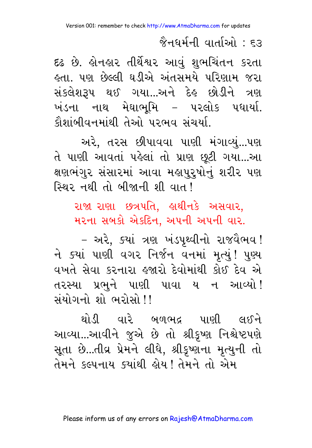Version 001: remember to check http://www.AtmaDharma.com for updates

જૈનધર્મની વાર્તાઓ : ૬૩

હતા. પણ છેલ્લી ઘડીએ અંતસમયે પરિણામ જરા સંકલેશરૂપ થઈ ગયા...અને દેહ છોડીને ત્રણ ખંડના નાથ મેઘાભૂમિ – પરલોક પધાર્યા. કૌશાંબીવનમાંથી તેઓ પુરભવ સંચર્યા.

અરે. તરસ છીપાવવા પાણી મંગાવ્યું...પણ તે પાણી આવતાં પહેલાં તો પ્રાણ છૂટી ગયા...આ ક્ષણભંગુર સંસારમાં આવા મહાપુરૂષોનું શરીર પણ સ્થિર નથી તો બીજાની શી વાત !

રાજા રાણા છત્રપતિ, હાથીનકે અસવાર, મરના સબકો એકદિન, અપની અપની વાર.

– અરે, ક્યાં ત્રણ ખંડપૃથ્વીનો રાજવૈભવ! ને ક્યાં પાણી વગર નિર્જન વનમાં મૃત્યું! પુણ્ય વખતે સેવા કરનારા હજારો દેવોમાંથી કોઈ દેવ એ તરસ્યા પ્રભુને પાણી પાવા ય ન આવ્યો! સંયોગનો શો ભરોસો !!

થોડી વારે બળભદ્ર પાણી લઈને આવ્યા...આવીને જુએ છે તો શ્રીકૃષ્ણ નિશ્ચેષ્ટપણે સૂતા છે...તીવ્ર પ્રેમને લીધે, શ્રીકૃષ્ણના મૃત્યુની તો તેમને કલ્પનાય ક્યાંથી લોય! તેમને તો એમ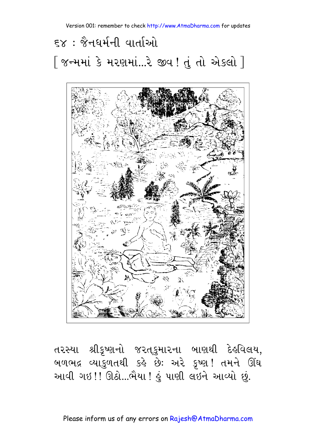## ૬૪ : જૈનધર્મની વાર્તાઓ [ જન્મમાં કે મરણમાં...રે જીવ ! તું તો એકલો ]



તરસ્યા શ્રીકૃષ્ણનો જરત્કુમારના બાણથી દેહવિલય, બળભદ્ર વ્યાકુળતથી કહે છેઃ અરે કૃષ્ણ! તમને ઊંઘ આવી ગઇ!! ઊઠો...ભૈયા ! હું પાણી લઇને આવ્યો છું.

Please inform us of any errors on Rajesh@AtmaDharma.com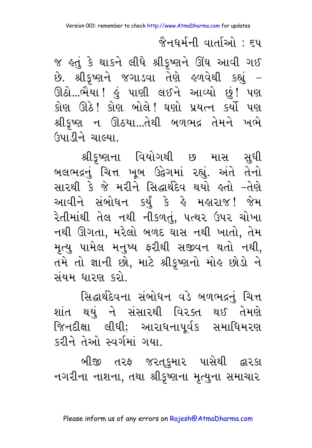જૈનઘર્મની વાર્તાઓ : ૬૫

જ કહ્યું કે થાકને લીધે શ્રીકૃષ્ણને ઊંઘ આવી ગઈ છે. શ્રીકૃષ્ણને જગાડવા તેણે હળવેથી કહ્યું – ઊઠો...ભૈયા ! હું પાણી લઈને આવ્યો છું ! પણ કોણ ઊઠે! કોણ બોલે! ઘણો પ્રયત્ન કર્યો પણ શ્રીકૃષ્ણ ન ઊઠયા...તેથી બળભદ્ર તેમને ખભે લિયાડીને ચાલ્યા.

શ્રીકૃષ્ણના વિયોગથી છ માસ સુધી બલભદ્રનું ચિત્ત ખૂબ ઉદ્વેગમાં રહ્યું. અંતે તેનો સારથી કે જે મરીને સિદ્ધાર્થદેવ થયો હતો –તેણે આવીને સંબોધન કર્યું કે હે મહારાજ! જેમ રેતીમાંથી તેલ નથી નીકળતું, પત્થર ઉપર ચોખા નથી ઊગતા, મરેલો બળદ ઘાસ નથી ખાતો, તેમ મૃત્યુ પામેલ મનુષ્ય ફરીથી સજીવન થતો નથી, તમે તો જ્ઞાની છો, માટે શ્રીકૃષ્ણનો મોહ છોડો ને સંયમ ધારણ કરો

સિદ્ધાર્થદેવના સંબોધન વડે બળભદ્રનું ચિત્ત શાંત થયું ને સંસારથી વિરક્ત થઈ તેમણે જિનદીક્ષા લીધી; આરાધનાપૂર્વક સમાધિમરણ કરીને તેઓ સ્વર્ગમાં ગયા.

બીજી તરફ જરતકમાર પાસેથી દ્વારકા નગરીના નાશના, તથા શ્રીકૃષ્ણના મૃત્યુના સમાચાર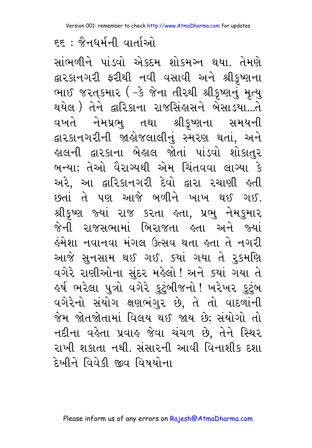## 

સાંભળીને પાંડવો એકદમ શોકમગ્ન થયા. તેમણે દ્વારકાનગરી ફરીથી નવી વસાવી અને શ્રીકૃષ્ણના ભાઈ જરતકમાર ( –કે જેના તીરથી શ્રીકૃષ્ણનું મૃત્યુ થયેલ) તેને દ્વારિકાના રાજસિંહાસને બેસાડયા…તે વખતે નેમપ્રભુ તથા શ્રીકૃષ્ણના સમયની દ્વારકાનગરીની જાહોજલાલીનું સ્મરણ થતાં, અને હાલની દ્વારકાના બેહાલ જોતાં પાંડવો શોકાતુર બન્યા; તેઓ વૈરાગ્યથી એમ ચિંતવવા લાગ્યા કે અરે. આ દ્વારિકાનગરી દેવો દ્વારા રચાણી હતી છતાં તે પણ આજે બળીને ખાખ થઈ ગઈ. શ્રીકૃષ્ણ જ્યાં રાજ કરતા હતા, પ્રભુ નેમકુમાર જેની રાજસભામાં બિરાજતા હતા અને જ્યાં હુંમેશા નવાનવા મંગલ ઉત્સવ થતા હતા તે નગરી આજે સુનસામ થઈ ગઈ. ક્યાં ગયા તે રુકમણિ વગેરે રાણીઓના સુંદર મહેલો ! અને ક્યાં ગયા તે હર્ષ ભરેલા પુત્રો વગેરે કુટુંબીજનો! ખરેખર <u>કુ</u>ટુંબ વગેરેનો સંયોગ ક્ષણભંગુર છે, તે તો વાદળાંની જેમ જોતજોતામાં વિલય થઈ જાય છે; સંયોગો તો નદીના વહેતા પ્રવાહ જેવા ચંચળ છે. તેને સ્થિર રાખી શકાતા નથી. સંસારની આવી વિનાશીક દશા દેખીને વિવેકી જીવ વિષયોના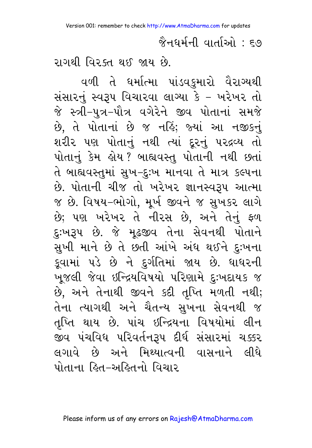જૈનઘર્મની વાર્તાઓ : ૬૭

રાગથી વિરક્ત થઈ જાય છે.

વળી તે ધર્માત્મા પાંડવકુમારો વૈરાગ્યથી સંસારનું સ્વરૂપ વિચારવા લાગ્યા કે – ખરેખર તો જે સ્ત્રી–પુત્ર–પૌત્ર વગેરેને જીવ પોતાનાં સમજે છે, તે પોતાનાં છે જ નહિં; જ્યાં આ નજીકનું શરીર પણ પોતાનું નથી ત્યાં દૂરનું પરદ્રવ્ય તો પોતાનું કેમ હોય? બાહ્યવસ્તુ પોતાની નથી છતાં તે બાહ્યવસ્તુમાં સુખ–દુઃખ માનવા તે માત્ર કલ્પના છે. પોતાની ચીજ તો ખરેખર જ્ઞાનસ્વરૂપ આત્મા જ છે. વિષય-ભોગો, મૂર્ખ જીવને જ સુખકર લાગે છે; પણ ખરેખર તે નીરસ છે, અને તેનું ફળ દુઃખરૂપ છે. જે મૂઢજીવ તેના સેવનથી પોતાને સુખી માને છે તે છતી આંખે અંધ થઈને દુઃખના કૂવામાં ૫ડે છે ને દુર્ગતિમાં જાય છે. ધાધરની ખૂજલી જેવા ઇન્દ્રિયવિષયો પરિણામે દુઃખદાયક જ છે, અને તેનાથી જીવને કદી તૃપ્તિ મળતી નથી; તેના ત્યાગથી અને ચૈતન્ય સુખના સેવનથી જ તૃપ્તિ થાય છે. પાંચ ઇન્દ્રિયના વિષયોમાં લીન જીવ પંચવિધ પરિવર્તનરૂપ દીર્ધ સંસારમાં ચક્કર લગાવે છે અને મિથ્યાત્વની વાસનાને લીધે પોતાના હિત–અહિતનો વિચાર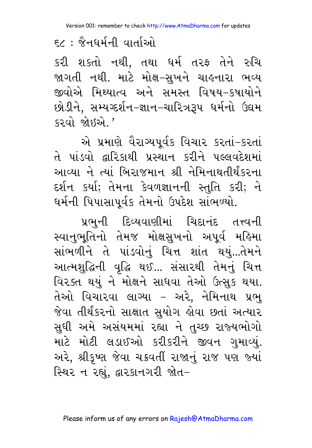## <u>દ૮ : જૈનધર્મની વાર્તાઓ</u>

કરી શકતો નથી. તથા ધર્મ તરફ તેને રુચિ જાગતી નથી. માટે મોક્ષ-સુખને ચાહનારા ભવ્ય જીવોએ મિથ્યાત્વ અને સમસ્ત વિષય–કષાયોને છોડીને. સમ્યગ્દર્શન–જ્ઞાન–ચારિત્રરૂપ ધર્મનો ઉદ્યમ  $\frac{1}{2}$ 

એ પ્રમાણે વૈરાગ્યપૂર્વક વિચાર કરતાં-કરતાં તે પાંડવો દ્રારિકાથી પ્રસ્થાન કરીને પલ્લવદેશમાં આવ્યા ને ત્યાં બિરાજમાન શ્રી નેમિનાથતીર્થંકરના દર્શન કર્યા; તેમના કેવળજ્ઞાનની સ્તુતિ કરી; ને ઘર્મની પિપાસાપૂર્વક તેમનો ઉપદેશ સાંભળ્યો.

પ્રભુની દિવ્યવાણીમાં ચિદાનંદ તત્ત્વની સ્વાનુભૂતિનો તેમજ મોક્ષસુખનો અપૂર્વ મહિમા સાંભળીને તે પાંડવોનું ચિત્ત શાંત થયું...તેમને આત્મશુદ્ધિની વૃદ્ધિ થઈ... સંસારથી તેમનું ચિત્ત વિરક્ત થયું ને મોક્ષને સાધવા તેઓ ઉત્સુક થયા. તેઓ વિચારવા લાગ્યા – અરે. નેમિનાથ પ્રભુ જેવા તીર્થંકરનો સાક્ષાત સુયોગ હોવા છતાં અત્યાર સુઘી અમે અસંયમમાં રહ્યા ને તુચ્છ રાજ્યભોગો માટે મોટી લડાઈઓ કરીકરીને જીવન ગુમાવ્યું. અરે, શ્રીકૃષ્ણ જેવા ચક્રવતીં રાજાનું રાજ પણ જ્યાં સ્થિર ન રહ્યું, દ્વારકાનગરી જોત−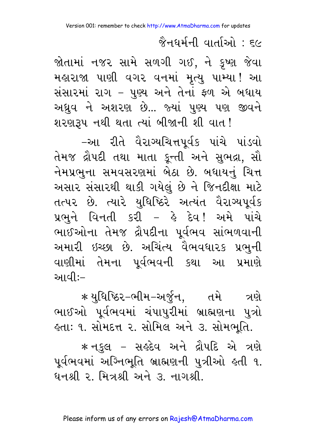જોતામાં નજર સામે સળગી ગઈ, ને કૃષ્ણ જેવા મહારાજા પાણી વગર વનમાં મૃત્યુ પામ્યા! આ સંસારમાં રાગ – પુણ્ય અને તેનાં ફળ એ બધાય અઘ્રુવ ને અશરણ છે... જ્યાં પુણ્ય પણ જીવને શરણરૂપ નથી થતા ત્યાં બીજાની શી વાત!

–આ રીતે વૈરાગ્યચિત્તપૂર્વક પાંચે પાંડવો તેમજ દ્રૌપદી તથા માતા કૂન્તી અને સુભદ્રા, સૌ નેમપ્રભુના સમવસરણમાં બેઠા છે. બધાયનું ચિત્ત અસાર સંસારથી થાકી ગયેલું છે ને જિનદીક્ષા માટે તત્પર છે. ત્યારે યુધિષ્ઠિરે અત્યંત વૈરાગ્યપૂર્વક પ્રભુને વિનતી કરી - હે દેવ! અમે પાંચે ભાઈઓના તેમજ દ્રૌપદીના પૂર્વભવ સાંભળવાની અમારી ઇચ્છા છે. અચિંત્ય વૈભવધારક પ્રભની વાણીમાં તેમના પૂર્વભવની કથા આ પ્રમાણે આવી:–

∗ યધિષ્ઠિર−ભીમ−અર્જન. તમે ત્રણે ભાઈઓ પૂર્વભવમાં ચંપાપુરીમાં બ્રાહ્મણના પુત્રો હતાઃ ૧. સોમદત્ત ૨. સોમિલ અને ૩. સોમભૂતિ.

\* નકુલ - સર્લ્ડવ અને દ્રૌપદિ એ ત્રણે પૂર્વભવમાં અગ્નિભૂતિ બ્રાહ્મણની પુત્રીઓ હતી ૧.  $4 + 1$   $2$   $1 + 2$   $1 + 3$   $2 + 1$   $3$   $1$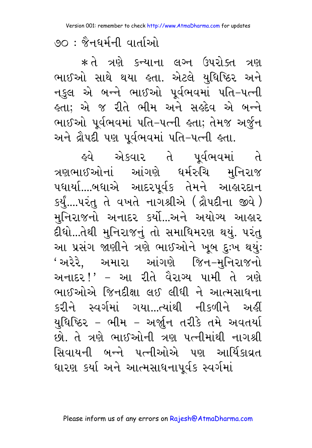৩০ : જૈનધર્મની વાર્તાઓ

\* તે ત્રણે કન્યાના લગ્ન ઉપરોક્ત ત્રણ ભાઈઓ સાથે થયા હતા. એટલે યુધિષ્ઠિર અને નકુલ એ બન્ને ભાઈઓ પૂર્વભવમાં પતિ–પત્ની હતા; એ જ રીતે ભીમ અને સર્લ્ડવ એ બન્ને ભાઈઓ પૂર્વભવમાં પતિ–પત્ની હતા; તેમજ અર્જુન અને દ્રૌપદી પણ પૂર્વભવમાં પતિ-પત્ની હતા.

હવે એકવાર તે પૂર્વભવમા<mark>ં</mark> તે ત્રણભાઈઓનાં આંગણે ધર્મરુચિ મનિરાજ પધાર્યા....બધાએ આદરપૂર્વક તેમને આહારદાન કર્યું....પરંતુ તે વખતે નાગશ્રીએ (દ્રૌપદીના જીવે) મુનિરાજનો અનાદર કર્યો...અને અયોગ્ય આહાર દીધો...તેથી મુનિરાજનું તો સમાધિમરણ થયું. પરંતુ આ પ્રસંગ જાણીને ત્રણે ભાઈઓને ખૂબ દુઃખ થયું: ' અરેરે, અમારા આંગણે જિન–મુનિરાજનો અનાદર!' – આ રીતે વૈરાગ્ય પામી તે ત્રણે ભાઈઓએ જિનદીક્ષા લઈ લીધી ને આત્મસાધના કરીને સ્વર્ગમાં ગયા...ત્યાંથી નીકળીને અહીં યુધિષ્ઠિર – ભીમ – અર્જાુન તરીકે તમે અવતર્યા છો. તે ત્રણે ભાઈઓની ત્રણ પત્નીમાંથી નાગશ્રી સિવાયની બન્ને પત્નીઓએ પણ આર્યિકાવ્રત ધારણ કર્યા અને આત્મસાધનાપૂર્વક સ્વર્ગમાં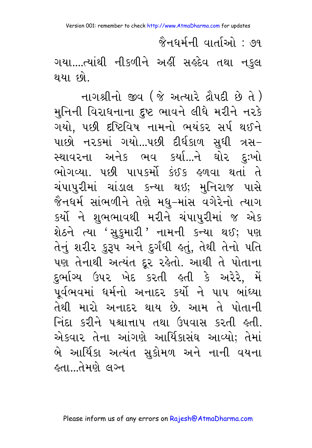ગયા....ત્યાંથી નીકળીને અહીં સહદેવ તથા નકલ થયા ઘ્ગે

નાગશ્રીનો જીવ (જે અત્યારે દ્રૌપદી છે તે ) મુનિની વિરાધનાના દુષ્ટ ભાવને લીધે મરીને નરકે ગયો, પછી દષ્ટિવિષ નામનો ભયંકર સર્પ થઈને પાછો નરકમાં ગયો...પછી દીર્ધકાળ સુધી ત્રસ– સ્થાવરના અનેક ભવ કર્યા...ને ઘોર દુઃખો ભોગવ્યા. પછી પાપકર્મો કંઈક હળવા થતાં તે ચંપાપરીમાં ચાંડાલ કન્યા થઇ; મુનિરાજ પાસે જૈનઘર્મ સાંભળીને તેણે મધુ–માંસ વગેરેનો ત્યાગ કર્યો ને શુભભાવથી મરીને ચંપાપુરીમાં જ એક શેઠને ત્યા 'સુકુમારી ' નામની કન્યા થઈ; પણ તેનું શરીર કુરૂપ અને દુર્ગંધી હતું, તેથી તેનો પતિ પણ તેનાથી અત્યંત દૂર રહેતો. આથી તે પોતાના દુર્ભાગ્ય ઉપર ખેદ કરતી હતી કે અરેરે, મેં પૂર્વભવમાં ધર્મનો અનાદર કર્યો ને પાપ બાંધ્યા તેથી મારો અનાદર થાય છે. આમ તે પોતાની નિંદા કરીને પશ્ચાત્તાપ તથા ઉપવાસ કરતી હતી. એકવાર તેના આંગણે આર્યિકાસંઘ આવ્યો; તેમાં બે આર્યિકા અત્યંત સકોમળ અને નાની વયના <u>હતા…તેમણે લગ્ન</u>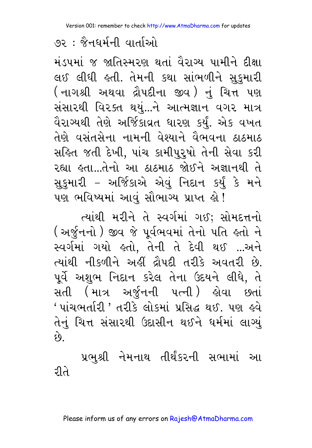## ૭૨ : જૈનઘર્મની વાર્તાઓ

મંડપમાં જ જાતિસ્મરણ થતાં વૈરાગ્ય પામીને દીક્ષા લઈ લીધી હતી. તેમની કથા સાંભળીને સુકુમારી ( નાગશ્રી અથવા દ્રૌપદીના જીવ ) નું ચિત્ત પણ સંસારથી વિરક્ત થયું...ને આત્મજ્ઞાન વગર માત્ર વૈરાગ્યથી તેણે અર્જિકાવ્રત ધારણ કર્યું. એક વખત તેણે વસંતસેના નામની વેશ્યાને વૈભવના ઠાઠમાઠ સહિત જતી દેખી. પાંચ કામીપરષો તેની સેવા કરી રહ્યા હતા…તેનો આ ઠાઠમાઠ જોઈને અજ્ઞાનથી તે સુકુમારી – અર્જિકાએ એવું નિદાન કર્યું કે મને પણ ભવિષ્યમાં આવું સૌભાગ્ય પ્રાપ્ત હો !

ત્યાંથી મરીને તે સ્વર્ગમાં ગઈ; સોમદત્તનો ( અર્જુનનો ) જીવ જે પૂર્વભવમાં તેનો પતિ હતો ને સ્વર્ગમાં ગયો ક્લો. તેની તે દેવી થઈ ...અને ત્યાંથી નીકળીને અહીં દૌપદી તરીકે અવતરી છે. પૂર્વે અશુભ નિદાન કરેલ તેના ઉદયને લીધે, તે સતી (માત્ર અર્જુનની પત્ની) હોવા છતાં ' પાંચભર્તારી ' તરીકે લોકમાં પ્રસિદ્ધ થઈ. પણ હવે તેનું ચિત્ત સંસારથી ઉદાસીન થઈને ધર્મમાં લાગ્યું  $\hat{g}$ 

પ્રભશ્રી નેમનાથ તીર્થંકરની સભામાં આ રીતે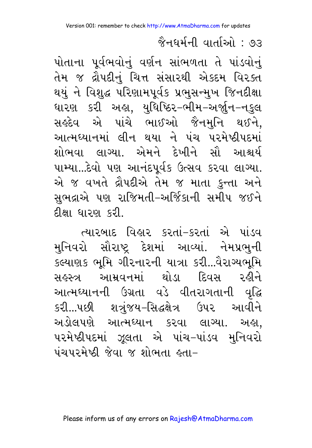પોતાના પૂર્વભવોનું વર્ણન સાંભળતા તે પાંડવોનું તેમ જ દ્રૌપદીનું ચિત્ત સંસારથી એકદમ વિરક્ત થયું ને વિશુદ્ધ પરિણામપૂર્વક પ્રભુસન્મુખ જિનદીક્ષા ધારણ કરી અહા, યુધિષ્ઠિર–ભીમ–અર્જાુન–નકુલ સર્લ્ડવ એ પાંચે ભાઈઓ જૈનમુનિ થઈને, આત્મઘ્યાનમાં લીન થયા ને પંચ પરમેષ્ઠીપદમાં શોભવા લાગ્યા. એમને દેખીને સૌ આશ્ચર્ય પામ્યા...દેવો પણ આનંદપૂર્વક ઉત્સવ કરવા લાગ્યા. એ જ વખતે દ્રૌપદીએ તેમ જ માતા કુન્તા અને સુભદ્રાએ પણ રાજિમતી-અર્જિકાની સમીપ જઈને દીક્ષા ધારણ કરી.

ત્યારબાદ વિહાર કરતાં–કરતાં એ પાંડવ મુનિવરો સૌરાષ્ટ દેશમાં આવ્યાં. નેમપ્રભુની કલ્યાણક ભૂમિ ગીરનારની યાત્રા કરી...વૈરાગ્યભૂમિ સહસ્ત્ર આમ્રવનમાં થોડા દિવસ રહીને આત્મધ્યાનની ઉગ્રતા વડે વીતરાગતાની વૃદ્ધિ કરી...પછી શત્રુંજય–સિદ્ધક્ષેત્ર ઉપર આવીને અડોલપણે આત્મધ્યાન કરવા લાગ્યા. અહ્ય. પરમેષ્ઠીપદમાં ઝૂલતા એ પાંચ–પાંડવ મુનિવરો પંચપરમેષ્ઠી જેવા જ શોભતા હતા-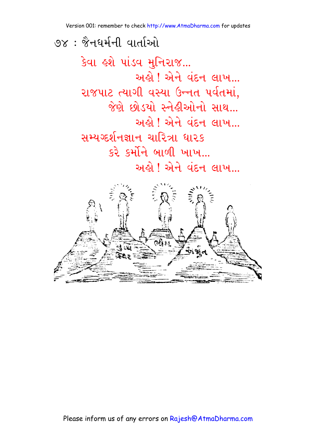૭૪ $:$  જૈનધર્મની વાર્તાઓ

કેવા હશે પાંડવ મુનિરાજ... <u>અહી! એને વંદન લાખ...</u> રાજપાટ ત્યાગી વસ્યા ઉન્નત પર્વતમાં, જેણે છોડયો સ્નેહીઓનો સાથ... અહી! એને વંદન લાખ... સમ્યગ્દર્શનજ્ઞાન ચારિત્રા ધારક  $s<sup>2</sup>$  કર્મોને બાળી ખાખ... <u>અહો! એને વંદન લાખ...</u>

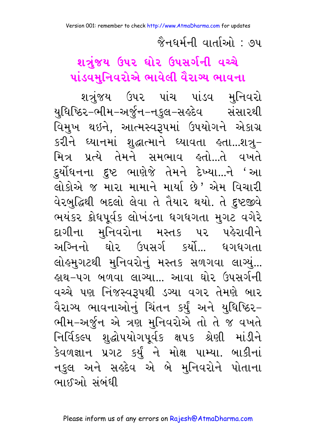## <u>શત્રંજય ઉપર ધોર ઉપસર્ગની વચ્ચે</u> <u>પાંડવમુનિવરોએ ભાવેલી વૈરાગ્ય ભાવના</u>

શત્રુંજય ઉપર પાંચ પાંડવ મુનિવરો યુધિષ્ઠિર–ભીમ–અર્જુન–નકુલ–સહદેવ સંસારથી વિમુખ થઇને, આત્મસ્વરૂપમાં ઉપયોગને એકાગ્ર કરીને ધ્યાનમાં શુદ્ધાત્માને ધ્યાવતા કતા...શત્રુ– મિત્ર પ્રત્યે તેમને સમભાવ હતો…તે વખતે ુર્યોધનના દુષ્ટ ભાણેજે તેમને દેખ્યા...ને 'આ લોકોએ જ મારા મામાને માર્યા છે<sup>,</sup> એમ વિચારી વેરબુદ્ધિથી બદલો લેવા તે તૈયાર થયો. તે દુષ્ટજીવે ભયંકર ક્રોધપૂર્વક લોખંડના ધગધગતા મુગટ વગેરે દાગીના મુનિવરોના મસ્તક પર પહેરાવીને અગ્નિનો ઘોર ઉપસર્ગ કર્યો... ઘગઘગતા લોહમુગટથી મુનિવરોનું મસ્તક સળગવા લાગ્યું... હાથ–પગ બળવા લાગ્યા… આવા ઘોર ઉપસર્ગની વચ્ચે પણ નિંજસ્વરૂપથી ડગ્યા વગર તેમણે બાર વૈરાગ્ય ભાવનાઓનું ચિંતન કર્યું અને યુધિષ્ઠિર– ભીમ-અર્જુન એ ત્રણ મુનિવરોએ તો તે જ વખતે નિર્વિકલ્પ શુદ્ધોપયોગપૂર્વક ક્ષપક શ્રેણી માંડીને કેવળજ્ઞાન પ્રગટ કર્યું ને મોક્ષ પામ્યા. બાકીનાં નકુલ અને સર્લ્ડવ એ બે મુનિવરોને પોતાના ભાઈઓ સંબંધી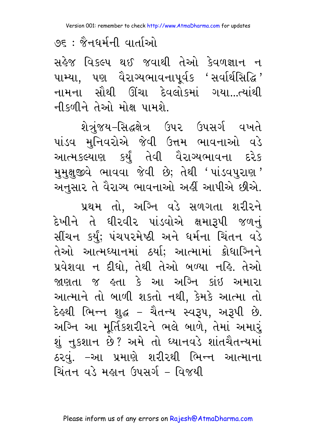## ७६ : જૈનઘર્મની વાર્તાઓ

સહેજ વિકલ્પ થઈ જવાથી તેઓ કેવળજ્ઞાન ન પામ્યા, પણ વૈરાગ્યભાવનાપૂર્વક 'સર્વાર્થસિદ્ધિ ' નામના સૌથી ઊંચા દેવલોકમાં ગયા...ત્યાંથી नी इળीने तेઓ મોક્ષ પામશે.

શેત્રુંજય–સિદ્ધક્ષેત્ર ઉપર ઉપસર્ગ વખતે પાંડવ મુનિવરોએ જેવી ઉત્તમ ભાવનાઓ વડે આત્મકલ્યાણ કર્યું તેવી વૈરાગ્યભાવના દરેક મુમુક્ષુજીવે ભાવવા જેવી છે; તેથી 'પાંડવપુરાણ ' અનુસાર તે વૈરાગ્ય ભાવનાઓ અહીં આપીએ છીએ.

પ્રથમ તો. અગ્નિ વડે સળગતા શરીરને દેખીને તે ધીરવીર પાંડવોએ ક્ષમારૂપી જળનું સીંચન કર્યું; પંચપરમેષ્ઠી અને ધર્મના ચિંતન વડે તેઓ આત્મધ્યાનમાં ઠર્યા; આત્મામાં ક્રોધાગ્નિને પ્રવેશવા ન દીધો, તેથી તેઓ બળ્યા નહિ. તેઓ જાણતા જ હતા કે આ અગ્નિ કાંઇ અમારા આત્માને તો બાળી શકતો નથી, કેમકે આત્મા તો દેહથી ભિન્ન શુદ્ધ – ચૈતન્ય સ્વરૂપ, અરૂપી છે. અગ્નિ આ મર્તિકશરીરને ભલે બાળે, તેમાં અમારૂં શું નુકશાન છે? અમે તો ઘ્યાનવડે શાંતચૈતન્યમાં ઠરવં. –આ પ્રમાણે શરીરથી ભિન્ન આત્માના ચિંતન વડે મહાન ઉપસર્ગ – વિજયી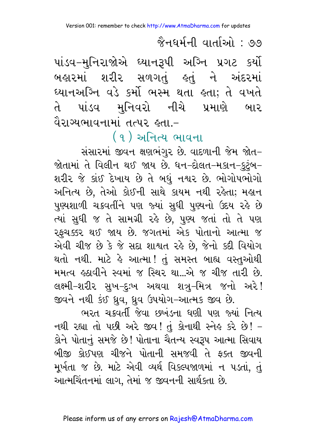પાંડવ-મુનિરાજોએ ઘ્યાનરૂપી અગ્નિ પ્રગટ કર્યો બહારમાં શરીર સળગતું હતું ને અંદરમાં ઘ્યાનઅગ્નિ વડે કર્મો ભસ્મ થતા હતા; તે વખતે તે પાંડવ મુનિવરો નીચે પ્રમાણે બાર વૈરાગ્યભાવનામાં તત્પર હતા.–

#### (१) अनित्य ભावना

સંસારમાં જીવન ક્ષણભંગર છે. વાદળાની જેમ જોત-જોતામાં તે વિલીન થઈ જાય છે. ધન-દોલત-મકાન-કટંબ-શરીર જે કાંઈ દેખાય છે તે બધું નશ્વર છે. ભોગોપભોગો અનિત્ય છે, તેઓ કોઈની સાથે કાયમ નથી રહેતા; મહાન પુરચશાળી ચક્રવતીને પણ જ્યાં સુધી પુરચનો ઉદય રહે છે ત્યાં સુધી જ તે સામગ્રી રહે છે, પુણ્ય જતાં તો તે પણ રફચક્કર થઈ જાય છે. જગતમાં એક પોતાનો આત્મા જ એવી ચીજ છે કે જે સદા શાશ્વત રહે છે. જેનો કદી વિયોગ થતો નથી. માટે કે આત્મા! તં સમસ્ત બાહ્ય વસ્તઓથી મમત્વ હઠાવીને સ્વમાં જ સ્થિર થા…એ જ ચીજ તારી છે. લક્ષ્મી-શરીર સુખ-દુઃખ અથવા શત્રુ-મિત્ર જનો અરે! જીવને નથી કંઈ ધ્રવ, ધ્રવ ઉપયોગ-આત્મક જીવ છે.

ભરત ચકવર્તી જેવા છખંડના ઘણી પણ જ્યાં નિત્ય નથી રહ્યા તો પછી અરે જીવ! તું કોનાથી સ્નેહ કરે છે! -કોને પોતાનું સમજે છે! પોતાના ચૈતન્ય સ્વરૂપ આત્મા સિવાય બીજી કોઈપણ ચીજને પોતાની સમજવી તે કક્ત જીવની મુર્ખતા જ છે. માટે એવી વ્યર્થ વિકલ્પજાળમાં ન પડતાં, તું આત્મચિંતનમાં લાગ. તેમાં જ જીવનની સાર્થક્તા છે.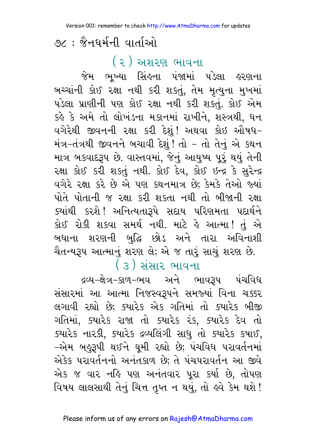### ૭૮ : જૈનઘર્મની વાર્તાઓ

#### ( ૨ ) અશરણ ભાવના

જેમ ભૂખ્યા સિંહના પંજામાં પડેલા હરણના બચ્ચાંની કોઈ રક્ષા નથી કરી શકતું, તેમ મૃત્યુના મુખમાં પડેલા પ્રાણીની પણ કોઈ રક્ષા નથી કરી શકતું. કોઈ એમ કર્લ્ડ કે અમે તો લોખંડના મકાનમાં રાખીને, શસ્ત્રથી, ધન વગેરેથી જીવનની રક્ષા કરી દેશું! અથવા કોઇ ઔષધ– મંત્ર-તંત્રથી જીવનને બચાવી દેશું! તો - તો તેનું એ કથન માત્ર બકવાદરૂપ છે. વાસ્તવમાં, જેનું આયુષ્ય પૂરૂં થયું તેની રક્ષા કોઈ કરી શકતું નથી. કોઈ દેવ, કોઈ ઇન્દ્ર કે સરેન્દ્ર વગેરે રક્ષા કરે છે એ પણ કથનમાત્ર છે; કેમકે તેઓ જ્યાં પોતે પોતાની જ રક્ષા કરી શકતા નથી તો બીજાની રક્ષા ક્યાંથી કરશે! અનિત્યતારૂપે સદાય પરિણમતા પદાર્થને કોઈ રોકી શકવા સમર્થ નથી. માટે હે આત્મા! તું એ બધાના શરણની બુદ્ધિ છોડ અને તારા અવિનાશી ચૈતન્યરૂપ આત્માનું શરણ લે; એ જ તારું સાચું શરણ છે.

#### (૩) સંસાર ભાવના

દ્રવ્ય−ક્ષેત્ર−કાળ−ભવ અને ભાવ૩૫ પંચવિધ સંસારમાં આ આત્મા નિજસ્વરૂપને સમજ્યાં વિના ચક્કર લગાવી રહ્યો છે; ક્યારેક એક ગતિમાં તો ક્યારેક બીજી ગતિમાં, ક્યારેક રાજા તો ક્યારેક રંક, ક્યારેક દેવ તો ક્યારેક નારકી. ક્યારેક દ્રવ્યલિંગી સાધ તો ક્યારેક કષાઈ. -એમ બહુરૂપી થઈને ઘૂમી રહ્યો છે; પંચવિધ પરાવર્તનમાં એકેક પરાવર્તનનો અનંતકાળ છે; તે પંચપરાવર્તન આ જીવે એક જ વાર નહિ પણ અનંતવાર પુરા કર્યા છે, તોપણ વિષય લાલસાથી તેનું ચિત્ત તુપ્ત ન થયું, તો હવે કેમ થશે !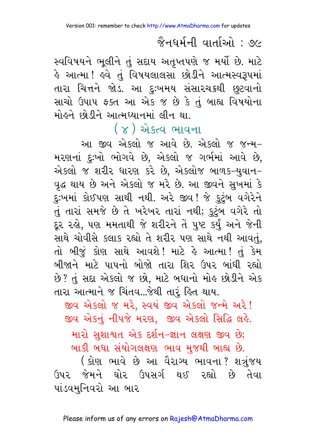સ્વવિષયને ભલીને તું સદાય અતપ્તપણે જ મર્યો છે. માટે હે આત્મા! હવે તું વિષયલાલસા છોડીને આત્મસ્વરૂપમાં તારા ચિત્તને જોડ. આ દુઃખમય સંસારચક્રથી છુટવાનો સાચો ઉપાપ ફક્ત આ એક જ છે કે તું બાહ્ય વિષયોના મોર્લ્ન છોડીને આત્મધ્યાનમાં લીન થા.

#### $(x)$  એકત્વ ભાવના

આ જીવ એકલો જ આવે છે. એકલો જ જન્મ– મરણનાં દુઃખો ભોગવે છે, એકલો જ ગર્ભમાં આવે છે, એકલો જ શરીર ધારણ કરે છે. એકલોજ બાળક-યુવાન-વૃદ્ધ થાય છે અને એકલો જ મરે છે. આ જીવને સુખમાં કે દુઃખમાં કોઈપણ સાથી નથી. અરે જીવ! જે કુટુંબ વગેરેને તું તારાં સમજે છે તે ખરેખર તારાં નથી; કુટુંબ વગેરે તો દૂર રહો, પણ મમતાથી જે શરીરને તેં પુષ્ટ કર્યું અને જેની સાથે ચોવીસે કલાક રહ્યો તે શરીર પણ સાથે નથી આવતું. તો બીજું કોણ સાથે આવશે! માટે હે આત્મા! તું કેમ બીજાને માટે પાપનો બોજો તારા શિર ઉપર બાંધી રહ્યો છે? તું સદા એકલો જ છો, માટે બધાનો મોહ છોડીને એક તારા આત્માને જ ચિંતવ...જેથી તારૂં હિત થાય.

જીવ એકલો જ મરે, સ્વયં જીવ એકલો જન્મે અરે! જીવ એકનું નીપજે મરણ, જીવ એકલો સિદ્ધિ લહે.

મારો સુશાશ્વત એક દર્શન-જ્ઞાન લક્ષણ જીવ છે;

બાકી બધા સંયોગલક્ષણ ભાવ મુજથી બાહ્ય છે.

( કોણ ભાવે છે આ વૈરાગ્ય ભાવના? શત્રંજય ઉપર જેમને ઘોર ઉપસર્ગ થઈ રહ્યો છે તેવા પાંડવમનિવરો આ બાર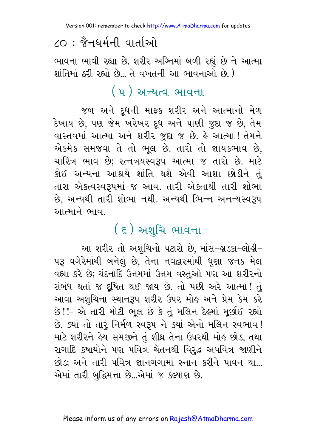#### $\overline{CO}$  : જૈનધર્મની વાર્તાઓ

ભાવના ભાવી રહ્યા છે. શરીર અગ્નિમાં બળી રહ્યું છે ને આત્મા શાંતિમાં ઠરી રહ્યો છે… તે વખતની આ ભાવનાઓ છે.)

#### ( ५ ) अन्यत्व ભावना

જળ અને દૂધની માફક શરીર અને આત્માનો મેળ દેખાય છે, પણ જેમ ખરેખર દ્ધ અને પાણી જુદા જ છે, તેમ વાસ્તવમાં આત્મા અને શરીર જુદા જ છે. કે આત્મા! તેમને એકમેક સમજવા તે તો ભૂલ છે. તારો તો જ્ઞાયકભાવ છે. ચારિત્ર ભાવ છે: રત્નત્રયસ્વરૂપ આત્મા જ તારો છે. માટે કોઈ અન્યના આશ્રયે શાંતિ થશે એવી આશા છોડીને તં તારા એકત્વસ્વરૂપમાં જ આવ. તારી એકતાથી તારી શોભા છે. અન્યથી તારી શોભા નથી. અન્યથી ભિન્ન અનન્યસ્વરૂપ આત્માને ભાવ.

#### ( ૬ ) અશચિ ભાવના

આ શરીર તો અશુચિનો પટારો છે, માંસ-હાડકા-લોહી-૫રૂ વગેરેમાંથી બનેલું છે, તેના નવદ્વારમાંથી ધુણા જનક મેલ વહ્યા કરે છે; ચંદનાદિ ઉત્તમમાં ઉત્તમ વસ્તુઓ પણ આ શરીરનો સંબંધ થતાં જ દૂષિત થઈ જાય છે. તો પછી અરે આત્મા! તું આવા અશુચિના સ્થાનરૂપ શરીર ઉપર મોહ અને પ્રેમ કેમ કરે છે!!- એ તારી મોટી ભૂલ છે કે તું મલિન દેહમાં મૂછીઈ રહ્યો છે. ક્યાં તો તારૂં નિર્મળ સ્વરૂપ ને ક્યાં એનો મલિન સ્વભાવ! માટે શરીરને હેય સમજીને તું શીઘ્ર તેના ઉપરથી મોહ છોડ, તથા રાગાદિ કષાયોને પણ પવિત્ર ચેતનથી વિરુદ્ધ અપવિત્ર જાણીને છોડ; અને તારી પવિત્ર જ્ઞાનગંગામાં સ્નાન કરીને પાવન થા... એમાં તારી બુદ્ધિમત્તા છે...એમાં જ કલ્યાણ છે.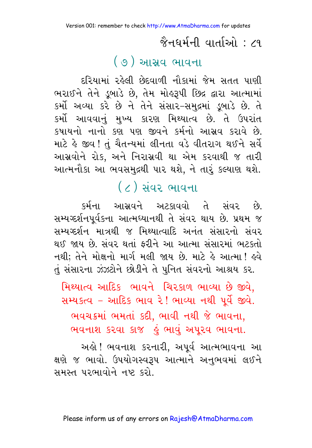### $\mathcal{\hat{B}}$ नधर्मनी वार्ताઓ : ८१

#### ( ૭ ) આસવ ભાવના

દરિયામાં રહેલી છેદવાળી નૌકામાં જેમ સતત પાણી ભરાઈને તેને ડબાડે છે. તેમ મોલ્ર્ડા છિદ્ર દ્વારા આત્મામાં કર્મો અવ્યા કરે છે ને તેને સંસાર-સમુદ્રમાં ડૂબાડે છે. તે કર્મો આવવાનું મુખ્ય કારણ મિથ્યાત્વ છે. તે ઉપરાંત કષાયનો નાનો કણ પણ જીવને કર્મનો આસવ કરાવે છે. માટે હે જીવ ! તું ચૈતન્યમાં લીનતા વડે વીતરાગ થઈને સર્વે આસ્રવોને રોક, અને નિરાસવી થા એમ કરવાથી જ તારી આત્મનૌકા આ ભવસમુદ્રથી પાર થશે, ને તારૂં કલ્યાણ થશે.

## (c) સંવર ભાવના

કર્મના આગ્રવને અટકાવવો તે સંવર છે. સમ્યગ્દર્શનપૂર્વકના આત્મઘ્યાનથી તે સંવર થાય છે. પ્રથમ જ સમ્યગ્દર્શન માત્રથી જ મિથ્યાત્વાદિ અનંત સંસારનો સંવર થઈ જાય છે. સંવર થતાં ફરીને આ આત્મા સંસારમાં ભટકતો નથી; તેને મોક્ષનો માર્ગ મલી જાય છે. માટે હે આત્મા! હવે તું સંસારના ઝંઝટોને છોડીને તે પુનિત સંવરનો આશ્રય કર.

મિથ્યાત્વ આદિક ભાવને ચિરકાળ ભાવ્યા છે જીવે. સમ્યકત્વ – આદિક ભાવ રે ! ભાવ્યા નથી પૂર્વે જીવે. ભવચક્રમાં ભમતાં કદી, ભાવી નથી જે ભાવના, ભવનાશ કરવા કાજ હું ભાવું અપુરવ ભાવના.

અહો ! ભવનાશ કરનારી, અપૂર્વ આત્મભાવના આ ક્ષણે જ ભાવો. ઉપયોગસ્વરૂપ આત્માને અનભવમાં લઈને સમસ્ત પરભાવોને નષ્ટ કરો.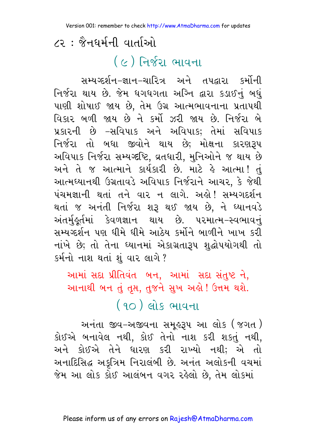# ८२ : જૈનધર્મની વાર્તાઓ

## <u>(૯) નિર્જરા ભાવના</u>

સમ્યગ્દર્શન–જ્ઞાન–ચારિત્ર અને તપદ્વારા કર્મોની નિર્જરા થાય છે. જેમ ધગધગતા અગ્નિ દ્વારા કડાઈનું બધું પાણી શોષાઈ જાય છે. તેમ ઉગ્ર આત્મભાવનાના પ્રતાપથી વિકાર બળી જાય છે ને કર્મો ઝરી જાય છે. નિર્જરા બે પ્રકારની છે –સવિપાક અને અવિપાકઃ તેમાં સવિપાક નિર્જરા તો બધા જીવોને થાય છે; મોક્ષના કારણરૂપ અવિપાક નિર્જરા સમ્યગ્દષ્ટિ, વ્રતધારી, મુનિઓને જ થાય છે અને તે જ આત્માને કાર્યકારી છે. માટે કે આત્મા! તું આત્મઘ્યાનથી ઉગ્રતાવડે અવિપાક નિર્જરાને આચર. કે જેથી પંચમજ્ઞાની થતાં તને વાર ન લાગે. અહી! સમ્યગદર્શન થતાં જ અનંતી નિર્જરા શરૂ થઈ જાય છે, ને ઘ્યાનવડે અંતર્મુકર્તમાં કેવળજ્ઞાન થાય છે. પરમાત્મ-સ્વભાવનું સમ્યગ્દર્શન પણ ધીમે ધીમે આઠેય કર્મોને બાળીને ખાખ કરી નાંખે છે; તો તેના ઘ્યાનમાં એકાગ્રતારૂપ શુદ્ધોપયોગથી તો કર્મનો નાશ થતાં શું વાર લાગે?

આમાં સદા પ્રીતિવંત બન, આમાં સદા સંતષ્ટ ને, આનાથી બન તું તુપ્ત, તુજને સુખ અહો! ઉત્તમ થશે.

( ૧૦ ) લોક ભાવના

અનંતા જીવ-અજીવના સમુહરૂપ આ લોક (જગત ) કોઈએ બનાવેલ નથી, કોઈ તેનો નાશ કરી શકતું નથી, અને કોઈએ તેને ધારણ કરી રાખ્યો નથી; એ તો અનાદિસિદ્ધ અકુત્રિમ નિરાલંબી છે. અનંત અલોકની વચમાં જેમ આ લોક કોઈ આલંબન વગર રહેલો છે. તેમ લોકમાં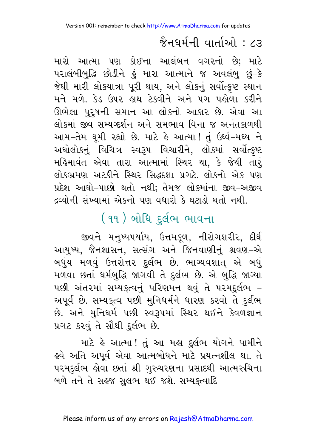મારો આત્મા પણ કોઈના આલંબન વગરનો છે; માટે પરાલંબીબુદ્ધિ છોડીને હું મારા આત્માને જ અવલંબુ છું–કે જેથી મારી લોકયાત્રા પુરી થાય, અને લોકનું સર્વોત્કૃષ્ટ સ્થાન મને મળે. કેડ ઉપર હાથ ટેકવીને અને પગ પહોળા કરીને ઊભેલા પુરૂષની સમાન આ લોકનો આકાર છે. એવા આ લોકમાં જીવ સમ્યગ્દર્શન અને સમભાવ વિના જ અનંતકાળથી આમ-તેમ ઘૂમી રહ્યો છે. માટે હે આત્મા! તું ઉર્ધ્વ-મધ્ય ને અઘોલોકનું વિચિત્ર સ્વરૂપ વિચારીને, લોકમાં સર્વોત્કુષ્ટ મહિમાવંત એવા તારા આત્મામાં સ્થિર થા, કે જેથી તારૂં લોકભ્રમણ અટકીને સ્થિર સિદ્ધદશા પ્રગટે. લોકનો એક પણ પ્રદેશ આઘો–પાછો થતો નથી: તેમજ લોકમાંના જીવ–અજીવ દ્રવ્યોની સંખ્યામાં એકનો પણ વધારો કે ઘટાડો થતો નથી.

## (૧૧) બોધિ દુર્લભ ભાવના

જીવને મનુષ્યપર્યાય, ઉત્તમકુળ, નીરોગશરીર, દીર્ઘ આયુષ્ય, જૈનશાસન, સત્સંગ અને જિનવાણીનું શ્રવણ–એ બઘુંય મળવું ઉત્તરોત્તર દુર્લભ છે. ભાગ્યવશાત એ બધું મળવા છતાં ધર્મબુદ્ધિ જાગવી તે દુર્લભ છે. એ બુદ્ધિ જાગ્યા ૫છી અંતરમાં સમ્યક્ત્વનું પરિણમન થવું તે પરમદ્દલીભ – અપૂર્વ છે. સમ્યક્ત્વ પછી મુનિધર્મને ધારણ કરવો તે દુર્લભ છે. અને મુનિધર્મ પછી સ્વરૂપમાં સ્થિર થઈને કેવળજ્ઞાન પ્રગટ કરવું તે સૌથી દુર્લભ છે.

માટે કે આત્મા! તું આ મહા દુર્લભ યોગને પામીને હવે અતિ અપૂર્વ એવા આત્મબોધને માટે પ્રયત્નશીલ થા. તે પરમદુર્લભ હોવા છતાં શ્રી ગુરુચરણના પ્રસાદથી આત્મરુચિના બળે તને તે સહજ સુલભ થઈ જશે. સમ્યક્ત્વાદિ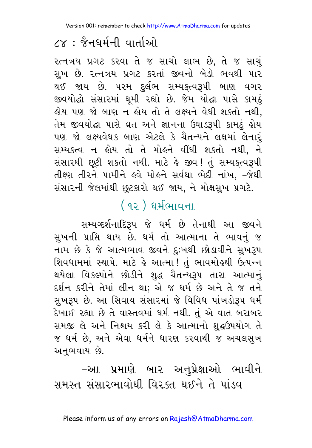## $\chi$ ૪ : જૈનઘર્મની વાર્તાઓ

રત્નત્રય પ્રગટ કરવા તે જ સાચો લાભ છે, તે જ સાચું સુખ છે. રત્નત્રય પ્રગટ કરતાં જીવનો બેડો ભવથી પાર થઈ જાય છે. ૫૨મ દુર્લભ સમ્યકૃત્વરૂપી બાણ વગર જીવયોદ્ધો સંસારમાં ઘમી રહ્યો છે. જેમ યોદ્ધા પાસે કામઠં હોય પણ જો બાણ ન હોય તો તે લક્ષ્યને વેધી શકતો નથી. તેમ જીવયોદ્ધા પાસે વ્રત અને જ્ઞાનના ઉઘાડરૂપી કામઠું હોય પણ જો લક્ષ્યવેધક બાણ એટલે કે ચૈતન્યને લક્ષમાં લેનારૂં સમ્યક્ત્વ ન હોય તો તે મોહને વીંધી શકતો નથી. ને સંસારથી છૂટી શકતો નથી. માટે કે જીવ! તું સમ્યક્ત્વરૂપી તીક્ષ્ણ તીરને પામીને હવે મોહને સર્વથા ભેદી નાંખ, –જેથી સંસારની જેલમાંથી છૂટકારો થઈ જાય, ને મોક્ષસુખ પ્રગટે.

## (१२) धर्मભावना

સમ્યગ્દર્શનાદિરૂપ જે ધર્મ છે તેનાથી આ જીવને સુખની પ્રાપ્તિ થાય છે. ધર્મ તો આત્માના તે ભાવનું જ નામ છે કે જે આત્મભાવ જીવને દુઃખથી છોડાવીને સુખરૂપ શિવધામમાં સ્થાપે. માટે કે આત્મા! તું ભાવમોકથી ઉત્પન્ન થયેલા વિકલ્પોને છોડીને શુદ્ધ ચૈતન્યરૂપ તારા આત્માનું દર્શન કરીને તેમાં લીન થા; એ જ ધર્મ છે અને તે જ તને સુખરૂપ છે. આ સિવાય સંસારમાં જે વિવિધ પાંખડોરૂપ ધર્મ દેખાઈ રહ્યા છે તે વાસ્તવમાં ધર્મ નથી. તું એ વાત બરાબર સમજી લે અને નિશ્ચય કરી લે કે આત્માનો શુદ્ધઉપયોગ તે જ ધર્મ છે. અને એવા ધર્મને ધારણ કરવાથી જ અચલસખ અનુભવાય છે.

–આ પ્રમાણે બાર અનપ્રેક્ષાઓ ભાવીને સમસ્ત સંસારભાવોથી વિરક્ત થઈને તે પાંડવ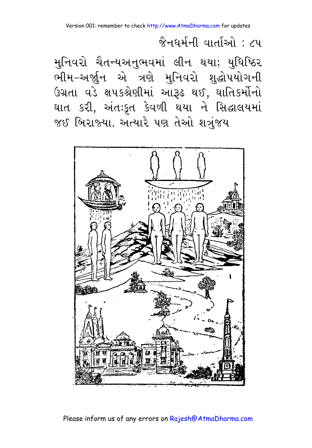$\hat{\mathcal{X}}$ नधर्मनी वार्ताओ : ८५

મુનિવરો ચૈતન્યઅનુભવમાં લીન થયા; યુધિષ્ઠિર ભીમ-અર્જાુન એ ત્રણે મુનિવરો શુદ્ધોપયોગની ઉગ્રતા વડે ક્ષપકશ્રેણીમાં આરૂઢ થઈ, ઘાતિકર્મોનો ઘાત કરી, અંતઃકૂત કેવળી થયા ને સિદ્ધાલયમાં જઈ બિરાજ્યા. અત્યારે પણ તેઓ શત્રુંજય



Please inform us of any errors on Rajesh@AtmaDharma.com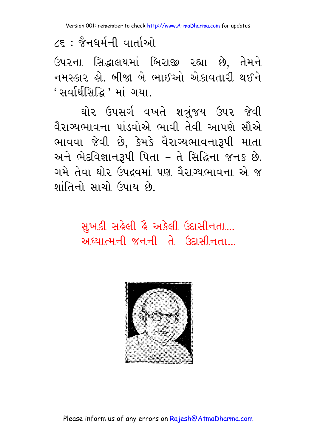# ८६ : જૈનઘર્મની વાર્તાઓ

ઉપરના સિદ્ધાલયમાં બિરાજી રહ્યા છે. તેમને નમસ્કાર કો. બીજા બે ભાઈઓ એકાવતારી થઈને ' સર્વાર્થસિદ્ધિ' માં ગયા.

ઘોર ઉપસર્ગ વખતે શત્રુંજય ઉપર જેવી વૈરાગ્યભાવના પાંડવોએ ભાવી તેવી આપણે સૌએ ભાવવા જેવી છે, કેમકે વૈરાગ્યભાવનારૂપી માતા અને ભેદવિજ્ઞાનરૂપી પિતા - તે સિદ્ધિના જનક છે. ગમે તેવા ઘોર ઉપદ્રવમાં પણ વૈરાગ્યભાવના એ જ શાંતિનો સાચો ઉપાય છે.

### સુખકી સહેલી હૈ અકેલી ઉદાસીનતા... અધ્યાત્મની જનની તે ઉદાસીનતા

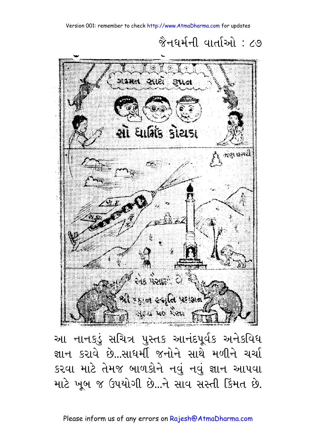Version 001: remember to check<http://www.AtmaDharma.com>for updates

જૈનઘર્મની વાર્તાઓ : ૮૭



આ નાનકડું સચિત્ર પુસ્તક આનંદપૂર્વક અનેકવિધ જ્ઞાન કરાવે છે...સાઘર્મી જનોને સાથે મળીને ચર્ચા કરવા માટે તેમજ બાળકોને નવું નવું જ્ઞાન આપવા માટે ખૂબ જ ઉપયોગી છે...ને સાવ સસ્તી કિંમત છે.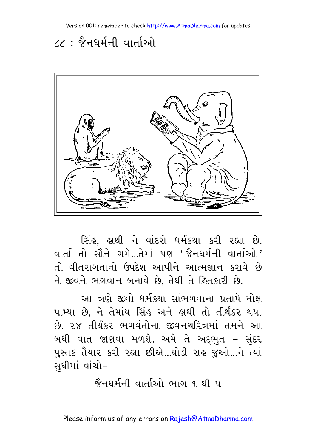$\alpha$  : જૈનધર્મની વાર્તાઓ



સિંહ, હાથી ને વાંદરો ધર્મકથા કરી રહ્યા છે. વાર્તા તો સૌને ગમે…તેમાં પણ 'જૈનધર્મની વાર્તાઓ  $'$ તો વીતરાગતાનો ઉપદેશ આપીને આત્મજ્ઞાન કરાવે છે ને જીવને ભગવાન બનાવે છે, તેથી તે હિતકારી છે.

આ ત્રણે જીવો ધર્મકથા સાંભળવાના પ્રતાપે મોક્ષ પામ્યા છે. ને તેમાંય સિંહ અને હાથી તો તીર્થંકર થયા છે. ૨૪ તીર્થંકર ભગવંતોના જીવનચરિત્રમાં તમને આ બધી વાત જાણવા મળશે. અમે તે અદ્દભુત – સુંદર પુસ્તક તૈયાર કરી રહ્યા છીએ...થોડી રાહ જુઓ...ને ત્યાં સુધીમાં વાંચો–

જૈનધર્મની વાર્તાઓ ભાગ ૧ થી ૫